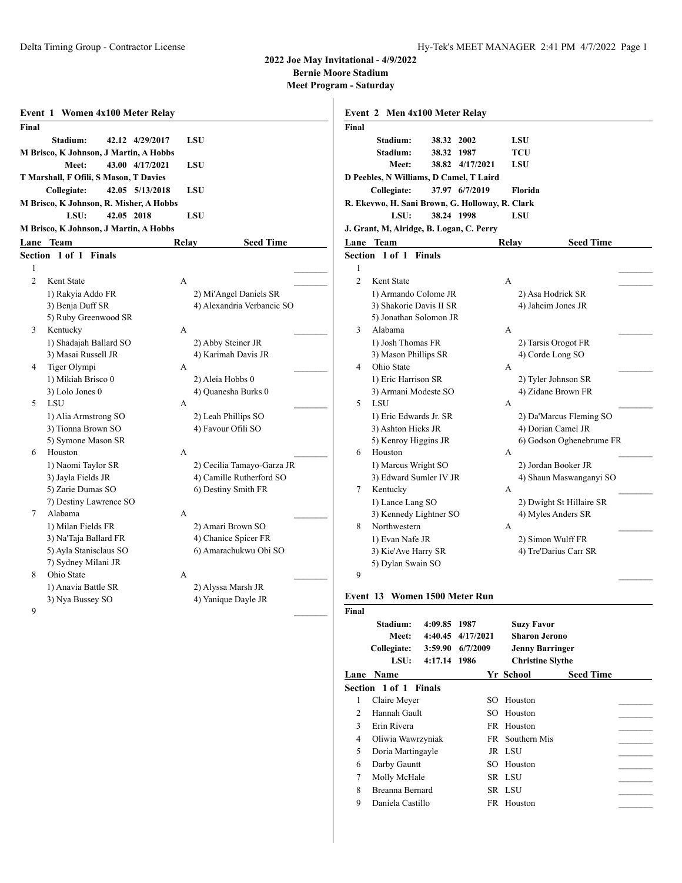**Bernie Moore Stadium**

| Final          |                                                                    |            |                                           |
|----------------|--------------------------------------------------------------------|------------|-------------------------------------------|
|                | Stadium:<br>42.12 4/29/2017                                        | <b>LSU</b> |                                           |
|                | M Brisco, K Johnson, J Martin, A Hobbs<br>43.00 4/17/2021<br>Meet: |            |                                           |
|                | T Marshall, F Ofili, S Mason, T Davies                             | LSU        |                                           |
|                | Collegiate:<br>42.05 5/13/2018                                     | <b>LSU</b> |                                           |
|                | M Brisco, K Johnson, R. Misher, A Hobbs                            |            |                                           |
|                | 42.05 2018<br>LSU:                                                 | <b>LSU</b> |                                           |
|                | M Brisco, K Johnson, J Martin, A Hobbs                             |            |                                           |
|                | Lane Team                                                          | Relay      | <b>Seed Time</b>                          |
|                | Section 1 of 1 Finals                                              |            |                                           |
| 1              |                                                                    |            |                                           |
| $\mathfrak{D}$ | Kent State                                                         | A          |                                           |
|                | 1) Rakyia Addo FR                                                  |            | 2) Mi'Angel Daniels SR                    |
|                | 3) Benja Duff SR                                                   |            | 4) Alexandria Verbancic SO                |
|                | 5) Ruby Greenwood SR                                               |            |                                           |
| 3              | Kentucky                                                           | A          |                                           |
|                | 1) Shadajah Ballard SO                                             |            | 2) Abby Steiner JR                        |
|                | 3) Masai Russell JR                                                |            | 4) Karimah Davis JR                       |
| 4              | Tiger Olympi                                                       | A          |                                           |
|                | 1) Mikiah Brisco 0                                                 |            | 2) Aleia Hobbs 0                          |
|                | 3) Lolo Jones 0                                                    |            | 4) Quanesha Burks 0                       |
| 5              | LSU                                                                | A          |                                           |
|                | 1) Alia Armstrong SO                                               |            | 2) Leah Phillips SO                       |
|                | 3) Tionna Brown SO                                                 |            | 4) Favour Ofili SO                        |
|                | 5) Symone Mason SR                                                 |            |                                           |
| 6              | Houston                                                            | A          |                                           |
|                | 1) Naomi Taylor SR                                                 |            | 2) Cecilia Tamayo-Garza JR                |
|                | 3) Jayla Fields JR                                                 |            | 4) Camille Rutherford SO                  |
|                | 5) Zarie Dumas SO                                                  |            | 6) Destiny Smith FR                       |
|                | 7) Destiny Lawrence SO                                             |            |                                           |
| 7              | Alabama<br>1) Milan Fields FR                                      | А          |                                           |
|                | 3) Na'Taja Ballard FR                                              |            | 2) Amari Brown SO<br>4) Chanice Spicer FR |
|                | 5) Ayla Stanisclaus SO                                             |            | 6) Amarachukwu Obi SO                     |
|                | 7) Sydney Milani JR                                                |            |                                           |
| 8              | Ohio State                                                         | A          |                                           |
|                | 1) Anavia Battle SR                                                |            | 2) Alyssa Marsh JR                        |
|                | 3) Nya Bussey SO                                                   |            | 4) Yanique Dayle JR                       |
| 9              |                                                                    |            |                                           |

| Event 2 Men 4x100 Meter Relay   |                                                      |                                                                                                                                                                                                                                                                             |                                                                                                                                                                                                                                                    |                                                                                                                                                                                  |
|---------------------------------|------------------------------------------------------|-----------------------------------------------------------------------------------------------------------------------------------------------------------------------------------------------------------------------------------------------------------------------------|----------------------------------------------------------------------------------------------------------------------------------------------------------------------------------------------------------------------------------------------------|----------------------------------------------------------------------------------------------------------------------------------------------------------------------------------|
|                                 |                                                      |                                                                                                                                                                                                                                                                             |                                                                                                                                                                                                                                                    |                                                                                                                                                                                  |
| Stadium:                        |                                                      |                                                                                                                                                                                                                                                                             | TCU                                                                                                                                                                                                                                                |                                                                                                                                                                                  |
| Meet:                           |                                                      |                                                                                                                                                                                                                                                                             | LSU                                                                                                                                                                                                                                                |                                                                                                                                                                                  |
|                                 |                                                      |                                                                                                                                                                                                                                                                             |                                                                                                                                                                                                                                                    |                                                                                                                                                                                  |
|                                 |                                                      |                                                                                                                                                                                                                                                                             | Florida                                                                                                                                                                                                                                            |                                                                                                                                                                                  |
|                                 |                                                      |                                                                                                                                                                                                                                                                             |                                                                                                                                                                                                                                                    |                                                                                                                                                                                  |
| LSU:                            |                                                      |                                                                                                                                                                                                                                                                             | LSU                                                                                                                                                                                                                                                |                                                                                                                                                                                  |
|                                 |                                                      |                                                                                                                                                                                                                                                                             |                                                                                                                                                                                                                                                    |                                                                                                                                                                                  |
|                                 |                                                      |                                                                                                                                                                                                                                                                             |                                                                                                                                                                                                                                                    | <b>Seed Time</b>                                                                                                                                                                 |
|                                 |                                                      |                                                                                                                                                                                                                                                                             |                                                                                                                                                                                                                                                    |                                                                                                                                                                                  |
|                                 |                                                      |                                                                                                                                                                                                                                                                             |                                                                                                                                                                                                                                                    |                                                                                                                                                                                  |
| Kent State                      |                                                      |                                                                                                                                                                                                                                                                             | $\mathsf{A}$                                                                                                                                                                                                                                       |                                                                                                                                                                                  |
|                                 |                                                      |                                                                                                                                                                                                                                                                             |                                                                                                                                                                                                                                                    | 2) Asa Hodrick SR                                                                                                                                                                |
|                                 |                                                      |                                                                                                                                                                                                                                                                             |                                                                                                                                                                                                                                                    | 4) Jaheim Jones JR                                                                                                                                                               |
|                                 |                                                      |                                                                                                                                                                                                                                                                             |                                                                                                                                                                                                                                                    |                                                                                                                                                                                  |
| Alabama                         |                                                      |                                                                                                                                                                                                                                                                             | A                                                                                                                                                                                                                                                  |                                                                                                                                                                                  |
|                                 |                                                      |                                                                                                                                                                                                                                                                             |                                                                                                                                                                                                                                                    | 2) Tarsis Orogot FR                                                                                                                                                              |
|                                 |                                                      |                                                                                                                                                                                                                                                                             |                                                                                                                                                                                                                                                    | 4) Corde Long SO                                                                                                                                                                 |
| Ohio State                      |                                                      |                                                                                                                                                                                                                                                                             | A                                                                                                                                                                                                                                                  |                                                                                                                                                                                  |
|                                 |                                                      |                                                                                                                                                                                                                                                                             |                                                                                                                                                                                                                                                    | 2) Tyler Johnson SR                                                                                                                                                              |
|                                 |                                                      |                                                                                                                                                                                                                                                                             |                                                                                                                                                                                                                                                    | 4) Zidane Brown FR                                                                                                                                                               |
| <b>LSU</b>                      |                                                      |                                                                                                                                                                                                                                                                             | A                                                                                                                                                                                                                                                  |                                                                                                                                                                                  |
|                                 |                                                      |                                                                                                                                                                                                                                                                             |                                                                                                                                                                                                                                                    | 2) Da'Marcus Fleming SO                                                                                                                                                          |
|                                 |                                                      |                                                                                                                                                                                                                                                                             |                                                                                                                                                                                                                                                    | 4) Dorian Camel JR                                                                                                                                                               |
|                                 |                                                      |                                                                                                                                                                                                                                                                             |                                                                                                                                                                                                                                                    | 6) Godson Oghenebrume FR                                                                                                                                                         |
| Houston                         |                                                      |                                                                                                                                                                                                                                                                             | A                                                                                                                                                                                                                                                  |                                                                                                                                                                                  |
|                                 |                                                      |                                                                                                                                                                                                                                                                             |                                                                                                                                                                                                                                                    | 2) Jordan Booker JR                                                                                                                                                              |
|                                 |                                                      |                                                                                                                                                                                                                                                                             |                                                                                                                                                                                                                                                    | 4) Shaun Maswanganyi SO                                                                                                                                                          |
| Kentucky                        |                                                      |                                                                                                                                                                                                                                                                             | A                                                                                                                                                                                                                                                  |                                                                                                                                                                                  |
|                                 |                                                      |                                                                                                                                                                                                                                                                             |                                                                                                                                                                                                                                                    | 2) Dwight St Hillaire SR                                                                                                                                                         |
|                                 |                                                      |                                                                                                                                                                                                                                                                             |                                                                                                                                                                                                                                                    | 4) Myles Anders SR                                                                                                                                                               |
|                                 |                                                      |                                                                                                                                                                                                                                                                             | A                                                                                                                                                                                                                                                  |                                                                                                                                                                                  |
|                                 |                                                      |                                                                                                                                                                                                                                                                             |                                                                                                                                                                                                                                                    | 2) Simon Wulff FR                                                                                                                                                                |
|                                 |                                                      |                                                                                                                                                                                                                                                                             |                                                                                                                                                                                                                                                    | 4) Tre'Darius Carr SR                                                                                                                                                            |
|                                 |                                                      |                                                                                                                                                                                                                                                                             |                                                                                                                                                                                                                                                    |                                                                                                                                                                                  |
|                                 |                                                      |                                                                                                                                                                                                                                                                             |                                                                                                                                                                                                                                                    |                                                                                                                                                                                  |
|                                 |                                                      |                                                                                                                                                                                                                                                                             |                                                                                                                                                                                                                                                    |                                                                                                                                                                                  |
|                                 |                                                      |                                                                                                                                                                                                                                                                             |                                                                                                                                                                                                                                                    |                                                                                                                                                                                  |
|                                 |                                                      |                                                                                                                                                                                                                                                                             |                                                                                                                                                                                                                                                    |                                                                                                                                                                                  |
|                                 |                                                      |                                                                                                                                                                                                                                                                             |                                                                                                                                                                                                                                                    |                                                                                                                                                                                  |
| Stadium:                        | 4:09.85 1987                                         |                                                                                                                                                                                                                                                                             |                                                                                                                                                                                                                                                    | <b>Suzy Favor</b>                                                                                                                                                                |
| Meet:                           |                                                      | 4:40.45 4/17/2021                                                                                                                                                                                                                                                           |                                                                                                                                                                                                                                                    | <b>Sharon Jerono</b>                                                                                                                                                             |
| Collegiate:                     |                                                      | $3:59.90$ 6/7/2009                                                                                                                                                                                                                                                          |                                                                                                                                                                                                                                                    | <b>Jenny Barringer</b>                                                                                                                                                           |
| LSU:                            | 4:17.14 1986                                         |                                                                                                                                                                                                                                                                             |                                                                                                                                                                                                                                                    | <b>Christine Slythe</b>                                                                                                                                                          |
| Lane Name                       |                                                      |                                                                                                                                                                                                                                                                             | Yr School                                                                                                                                                                                                                                          | <b>Seed Time</b>                                                                                                                                                                 |
| Section 1 of 1 Finals           |                                                      |                                                                                                                                                                                                                                                                             |                                                                                                                                                                                                                                                    |                                                                                                                                                                                  |
| Claire Meyer                    |                                                      |                                                                                                                                                                                                                                                                             | SO Houston                                                                                                                                                                                                                                         |                                                                                                                                                                                  |
| Hannah Gault                    |                                                      |                                                                                                                                                                                                                                                                             | Houston<br>SO.                                                                                                                                                                                                                                     |                                                                                                                                                                                  |
| Erin Rivera                     |                                                      |                                                                                                                                                                                                                                                                             | FR Houston                                                                                                                                                                                                                                         |                                                                                                                                                                                  |
| Oliwia Wawrzyniak               |                                                      |                                                                                                                                                                                                                                                                             | FR Southern Mis                                                                                                                                                                                                                                    |                                                                                                                                                                                  |
| Doria Martingayle               |                                                      |                                                                                                                                                                                                                                                                             | JR LSU                                                                                                                                                                                                                                             |                                                                                                                                                                                  |
| Darby Gauntt                    |                                                      |                                                                                                                                                                                                                                                                             | SO Houston                                                                                                                                                                                                                                         |                                                                                                                                                                                  |
| Molly McHale<br>Breanna Bernard |                                                      |                                                                                                                                                                                                                                                                             | SR LSU<br>SR LSU                                                                                                                                                                                                                                   |                                                                                                                                                                                  |
|                                 | Stadium:<br>Collegiate:<br>Lane Team<br>Northwestern | Section 1 of 1 Finals<br>1) Josh Thomas FR<br>3) Mason Phillips SR<br>1) Eric Harrison SR<br>1) Eric Edwards Jr. SR<br>3) Ashton Hicks JR<br>5) Kenroy Higgins JR<br>1) Marcus Wright SO<br>1) Lance Lang SO<br>1) Evan Nafe JR<br>3) Kie'Ave Harry SR<br>5) Dylan Swain SO | 38.32 2002<br>38.32 1987<br>37.97 6/7/2019<br>38.24 1998<br>1) Armando Colome JR<br>3) Shakorie Davis II SR<br>5) Jonathan Solomon JR<br>3) Armani Modeste SO<br>3) Edward Sumler IV JR<br>3) Kennedy Lightner SO<br>Event 13 Women 1500 Meter Run | LSU<br>38.82 4/17/2021<br>D Peebles, N Williams, D Camel, T Laird<br>R. Ekevwo, H. Sani Brown, G. Holloway, R. Clark<br>J. Grant, M, Alridge, B. Logan, C. Perry<br><b>Relay</b> |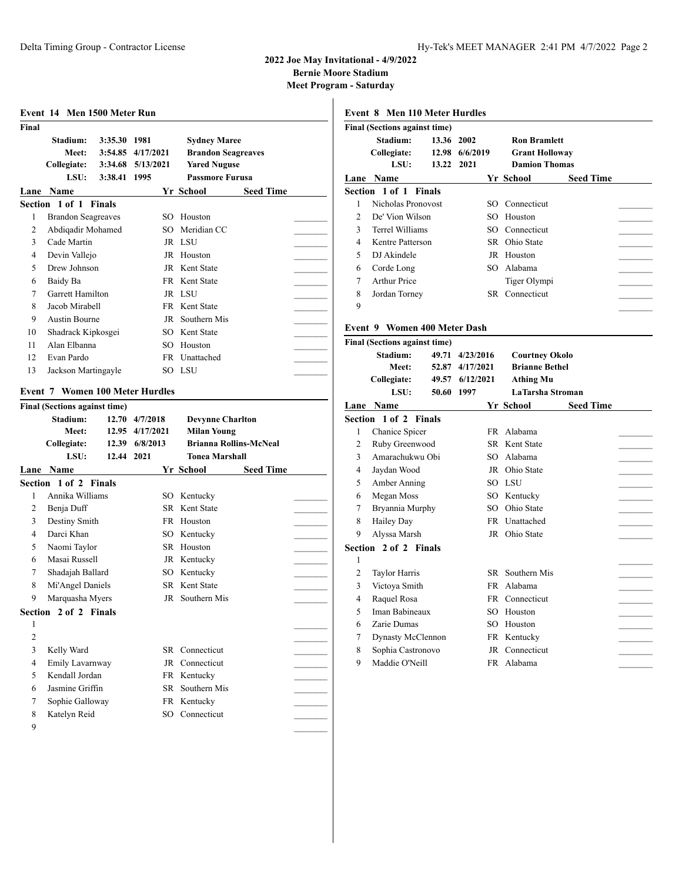**Bernie Moore Stadium**

**Meet Program - Saturday**

|                | Event 14 Men 1500 Meter Run            |                 |                   |                               |                  |  |
|----------------|----------------------------------------|-----------------|-------------------|-------------------------------|------------------|--|
| Final          |                                        |                 |                   |                               |                  |  |
|                | Stadium:                               | 3:35.30 1981    |                   | <b>Sydney Maree</b>           |                  |  |
|                | Meet:                                  |                 | 3:54.85 4/17/2021 | <b>Brandon Seagreaves</b>     |                  |  |
|                | Collegiate:                            |                 | 3:34.68 5/13/2021 | <b>Yared Nuguse</b>           |                  |  |
|                | LSU:                                   | 3:38.41 1995    |                   | <b>Passmore Furusa</b>        |                  |  |
|                | Lane Name                              |                 |                   | Yr School                     | <b>Seed Time</b> |  |
|                | Section 1 of 1 Finals                  |                 |                   |                               |                  |  |
| 1              | <b>Brandon Seagreaves</b>              |                 |                   | SO Houston                    |                  |  |
| 2              | Abdiqadir Mohamed                      |                 | SO.               | Meridian CC                   |                  |  |
| 3              | Cade Martin                            |                 |                   | JR LSU                        |                  |  |
| 4              | Devin Vallejo                          |                 |                   | JR Houston                    |                  |  |
| 5              | Drew Johnson                           |                 |                   | JR Kent State                 |                  |  |
| 6              | Baidy Ba                               |                 |                   | FR Kent State                 |                  |  |
| 7              | Garrett Hamilton                       |                 |                   | JR LSU                        |                  |  |
| 8              | Jacob Mirabell                         |                 |                   | FR Kent State                 |                  |  |
| 9              | <b>Austin Bourne</b>                   |                 | JR                | Southern Mis                  |                  |  |
| 10             | Shadrack Kipkosgei                     |                 | SO.               | Kent State                    |                  |  |
| 11             | Alan Elbanna                           |                 | SO.               | Houston                       |                  |  |
| 12             | Evan Pardo                             |                 |                   | FR Unattached                 |                  |  |
| 13             | Jackson Martingayle                    |                 |                   | SO LSU                        |                  |  |
|                |                                        |                 |                   |                               |                  |  |
|                | <b>Event 7 Women 100 Meter Hurdles</b> |                 |                   |                               |                  |  |
|                | <b>Final (Sections against time)</b>   |                 |                   |                               |                  |  |
|                | Stadium:                               |                 | 12.70 4/7/2018    | <b>Devynne Charlton</b>       |                  |  |
|                | <b>Meet:</b>                           | 12.95 4/17/2021 |                   |                               |                  |  |
|                |                                        |                 |                   | <b>Milan Young</b>            |                  |  |
|                | Collegiate:                            |                 | 12.39 6/8/2013    | <b>Brianna Rollins-McNeal</b> |                  |  |
|                | LSU:                                   | 12.44 2021      |                   | <b>Tonea Marshall</b>         |                  |  |
|                | Lane Name                              |                 |                   | Yr School                     | <b>Seed Time</b> |  |
|                | Section 1 of 2 Finals                  |                 |                   |                               |                  |  |
| 1              | Annika Williams                        |                 |                   | SO Kentucky                   |                  |  |
| $\overline{2}$ | Benja Duff                             |                 |                   | <b>SR</b> Kent State          |                  |  |
| 3              | Destiny Smith                          |                 |                   | FR Houston                    |                  |  |
| 4              | Darci Khan                             |                 | SO.               | Kentucky                      |                  |  |
| 5              | Naomi Taylor                           |                 |                   | SR Houston                    |                  |  |
| 6              | Masai Russell                          |                 |                   | JR Kentucky                   |                  |  |
| 7              | Shadajah Ballard                       |                 |                   | SO Kentucky                   |                  |  |
| 8              | Mi'Angel Daniels                       |                 |                   | SR Kent State                 |                  |  |
|                | Marquasha Myers                        |                 |                   | JR Southern Mis               |                  |  |
|                | Section 2 of 2 Finals                  |                 |                   |                               |                  |  |
| 1              |                                        |                 |                   |                               |                  |  |
| $\overline{c}$ |                                        |                 |                   |                               |                  |  |
| 3              | Kelly Ward                             |                 |                   | SR Connecticut                |                  |  |
| $\overline{4}$ | Emily Lavarnway                        |                 |                   | JR Connecticut                |                  |  |
| 5              | Kendall Jordan                         |                 |                   | FR Kentucky                   |                  |  |
| 6              | Jasmine Griffin                        |                 |                   | SR Southern Mis               |                  |  |
| 7              | Sophie Galloway                        |                 |                   | FR Kentucky                   |                  |  |

 $9$ 

|                | <b>Final (Sections against time)</b>    |            |                 |                 |                       |                  |
|----------------|-----------------------------------------|------------|-----------------|-----------------|-----------------------|------------------|
|                | Stadium:                                | 13.36 2002 |                 |                 | <b>Ron Bramlett</b>   |                  |
|                | Collegiate:                             |            | 12.98 6/6/2019  |                 | <b>Grant Holloway</b> |                  |
|                | LSU:                                    | 13.22      | 2021            |                 | <b>Damion Thomas</b>  |                  |
|                | Lane Name                               |            |                 |                 | Yr School             | <b>Seed Time</b> |
|                | Section 1 of 1                          | Finals     |                 |                 |                       |                  |
| 1              | Nicholas Pronovost                      |            |                 |                 | SO Connecticut        |                  |
| $\overline{2}$ | De' Vion Wilson                         |            |                 | SO.             | Houston               |                  |
| 3              | <b>Terrel Williams</b>                  |            |                 |                 | SO Connecticut        |                  |
| $\overline{4}$ | Kentre Patterson                        |            |                 |                 | SR Ohio State         |                  |
| 5              | DJ Akindele                             |            |                 |                 | JR Houston            |                  |
| 6              | Corde Long                              |            |                 |                 | SO Alabama            |                  |
| 7              | <b>Arthur Price</b>                     |            |                 |                 | Tiger Olympi          |                  |
| 8              | Jordan Torney                           |            |                 |                 | SR Connecticut        |                  |
| 9              |                                         |            |                 |                 |                       |                  |
|                |                                         |            |                 |                 |                       |                  |
|                | Event 9 Women 400 Meter Dash            |            |                 |                 |                       |                  |
|                | <b>Final (Sections against time)</b>    |            |                 |                 |                       |                  |
|                | Stadium:                                |            | 49.71 4/23/2016 |                 | <b>Courtney Okolo</b> |                  |
|                | Meet:                                   |            | 52.87 4/17/2021 |                 | <b>Brianne Bethel</b> |                  |
|                | Collegiate:                             |            | 49.57 6/12/2021 |                 | Athing Mu             |                  |
|                | LSU:                                    | 50.60      | 1997            |                 | LaTarsha Stroman      |                  |
|                | Lane Name                               |            |                 |                 | Yr School             | <b>Seed Time</b> |
|                | Section 1 of 2 Finals                   |            |                 |                 |                       |                  |
| 1              | Chanice Spicer                          |            |                 | FR.             | Alabama               |                  |
| $\overline{c}$ | Ruby Greenwood                          |            |                 |                 | SR Kent State         |                  |
| 3              | Amarachukwu Obi                         |            |                 | SO <sub>2</sub> | Alabama               |                  |
| 4              | Jaydan Wood                             |            |                 |                 | JR Ohio State         |                  |
| 5              | Amber Anning                            |            |                 |                 | SO LSU                |                  |
| 6              | Megan Moss                              |            |                 |                 | SO Kentucky           |                  |
|                |                                         |            |                 |                 |                       |                  |
| 7              | Bryannia Murphy                         |            |                 |                 | SO Ohio State         |                  |
| 8              | <b>Hailey Day</b>                       |            |                 | FR              | Unattached            |                  |
| 9              | Alyssa Marsh                            |            |                 |                 | JR Ohio State         |                  |
|                | Section 2 of 2 Finals                   |            |                 |                 |                       |                  |
| 1              |                                         |            |                 |                 |                       |                  |
| 2              | Taylor Harris                           |            |                 | SR -            | Southern Mis          |                  |
| 3              | Victoya Smith                           |            |                 | FR              | Alabama               |                  |
| 4              | Raquel Rosa                             |            |                 | FR -            | Connecticut           |                  |
| 5              | Iman Babineaux                          |            |                 | SO.             | Houston               |                  |
| 6<br>7         | Zarie Dumas<br><b>Dynasty McClennon</b> |            |                 | SO<br>FR        | Houston<br>Kentucky   |                  |

8 Sophia Castronovo JR Connecticut 9 Maddie O'Neill FR Alabama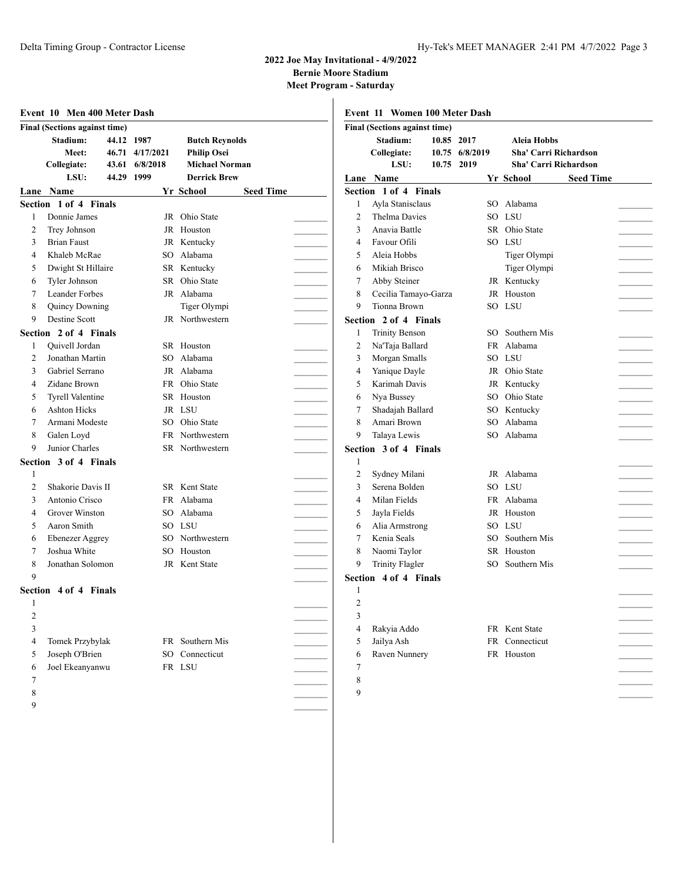**Bernie Moore Stadium**

|         | Final (Sections against time)            |                                                                  |                                                                                             |                  |                | Final (Sections against time)                |            |                              |                                                                            |                  |  |
|---------|------------------------------------------|------------------------------------------------------------------|---------------------------------------------------------------------------------------------|------------------|----------------|----------------------------------------------|------------|------------------------------|----------------------------------------------------------------------------|------------------|--|
|         | Stadium:<br>Meet:<br>Collegiate:<br>LSU: | 44.12 1987<br>46.71 4/17/2021<br>6/8/2018<br>43.61<br>44.29 1999 | <b>Butch Reynolds</b><br><b>Philip Osei</b><br><b>Michael Norman</b><br><b>Derrick Brew</b> |                  |                | Stadium:<br>Collegiate:<br>LSU:<br>Lane Name | 10.85 2017 | 10.75 6/8/2019<br>10.75 2019 | Aleia Hobbs<br>Sha' Carri Richardson<br>Sha' Carri Richardson<br>Yr School | <b>Seed Time</b> |  |
|         | Lane Name                                |                                                                  | Yr School                                                                                   | <b>Seed Time</b> |                | Section 1 of 4 Finals                        |            |                              |                                                                            |                  |  |
|         | Section 1 of 4 Finals                    |                                                                  |                                                                                             |                  | 1              | Ayla Stanisclaus                             |            |                              | SO Alabama                                                                 |                  |  |
| 1       | Donnie James                             |                                                                  | JR Ohio State                                                                               |                  | 2              | Thelma Davies                                |            |                              | SO LSU                                                                     |                  |  |
| 2       | Trey Johnson                             |                                                                  | JR Houston                                                                                  |                  | 3              | Anavia Battle                                |            |                              | SR Ohio State                                                              |                  |  |
| 3       | <b>Brian Faust</b>                       |                                                                  | JR Kentucky                                                                                 |                  | $\overline{4}$ | Favour Ofili                                 |            |                              | SO LSU                                                                     |                  |  |
| 4       | Khaleb McRae                             |                                                                  | SO Alabama                                                                                  |                  | 5              | Aleia Hobbs                                  |            |                              | Tiger Olympi                                                               |                  |  |
| 5       | Dwight St Hillaire                       |                                                                  | SR Kentucky                                                                                 |                  | 6              | Mikiah Brisco                                |            |                              | Tiger Olympi                                                               |                  |  |
| 6       | Tyler Johnson                            |                                                                  | SR Ohio State                                                                               |                  | 7              | Abby Steiner                                 |            |                              | JR Kentucky                                                                |                  |  |
| 7       | Leander Forbes                           |                                                                  | JR Alabama                                                                                  |                  | 8              | Cecilia Tamayo-Garza                         |            |                              | JR Houston                                                                 |                  |  |
| 8       | Quincy Downing                           |                                                                  | Tiger Olympi                                                                                |                  | 9              | <b>Tionna Brown</b>                          |            |                              | SO LSU                                                                     |                  |  |
| 9       | Destine Scott                            |                                                                  | JR Northwestern                                                                             |                  |                | Section 2 of 4 Finals                        |            |                              |                                                                            |                  |  |
| Section | 2 of 4 Finals                            |                                                                  |                                                                                             |                  | 1              | <b>Trinity Benson</b>                        |            | SO.                          | Southern Mis                                                               |                  |  |
| 1       | <b>Ouivell Jordan</b>                    |                                                                  | SR Houston                                                                                  |                  | $\overline{2}$ | Na'Taja Ballard                              |            | <b>FR</b>                    | Alabama                                                                    |                  |  |
| 2       | Jonathan Martin                          | SO.                                                              | Alabama                                                                                     |                  | 3              | Morgan Smalls                                |            |                              | SO LSU                                                                     |                  |  |
| 3       | Gabriel Serrano                          |                                                                  | JR Alabama                                                                                  |                  | 4              | Yanique Dayle                                |            |                              | JR Ohio State                                                              |                  |  |
| 4       | Zidane Brown                             |                                                                  | FR Ohio State                                                                               |                  | 5              | Karimah Davis                                |            |                              | JR Kentucky                                                                |                  |  |
| 5       | <b>Tyrell Valentine</b>                  |                                                                  | SR Houston                                                                                  |                  | 6              | Nya Bussey                                   |            | SO.                          | Ohio State                                                                 |                  |  |
| 6       | <b>Ashton Hicks</b>                      |                                                                  | JR LSU                                                                                      |                  |                | Shadajah Ballard                             |            | SO                           | Kentucky                                                                   |                  |  |
| 7       | Armani Modeste                           | SO.                                                              | Ohio State                                                                                  |                  | 8              | Amari Brown                                  |            | SO                           | Alabama                                                                    |                  |  |
| 8       | Galen Loyd                               | FR                                                               | Northwestern                                                                                |                  | 9              | Talaya Lewis                                 |            | SO.                          | Alabama                                                                    |                  |  |
| 9       | Junior Charles                           | SR                                                               | Northwestern                                                                                |                  |                | Section 3 of 4 Finals                        |            |                              |                                                                            |                  |  |
|         | Section 3 of 4 Finals                    |                                                                  |                                                                                             |                  | 1              |                                              |            |                              |                                                                            |                  |  |
| -1      |                                          |                                                                  |                                                                                             |                  | 2              | Sydney Milani                                |            |                              | JR Alabama                                                                 |                  |  |
| 2       | Shakorie Davis II                        |                                                                  | SR Kent State                                                                               |                  | 3              | Serena Bolden                                |            |                              | SO LSU                                                                     |                  |  |
| 3       | Antonio Crisco                           |                                                                  | FR Alabama                                                                                  |                  | 4              | Milan Fields                                 |            |                              | FR Alabama                                                                 |                  |  |
| 4       | Grover Winston                           | SO.                                                              | Alabama                                                                                     |                  | 5              | Jayla Fields                                 |            | JR                           | Houston                                                                    |                  |  |
| 5       | Aaron Smith                              |                                                                  | SO LSU                                                                                      |                  | 6              | Alia Armstrong                               |            |                              | SO LSU                                                                     |                  |  |
| 6       | <b>Ebenezer Aggrey</b>                   | SO.                                                              | Northwestern                                                                                |                  | 7              | Kenia Seals                                  |            | SO.                          | Southern Mis                                                               |                  |  |
| 7       | Joshua White                             | SO.                                                              | Houston                                                                                     |                  | 8              | Naomi Taylor                                 |            |                              | SR Houston                                                                 |                  |  |
| 8       | Jonathan Solomon                         |                                                                  | JR Kent State                                                                               |                  | 9              | <b>Trinity Flagler</b>                       |            | SO.                          | Southern Mis                                                               |                  |  |
| 9       |                                          |                                                                  |                                                                                             |                  |                | Section 4 of 4 Finals                        |            |                              |                                                                            |                  |  |
|         |                                          |                                                                  |                                                                                             |                  | 1              |                                              |            |                              |                                                                            |                  |  |
|         | Section 4 of 4 Finals                    |                                                                  |                                                                                             |                  |                |                                              |            |                              |                                                                            |                  |  |
|         |                                          |                                                                  |                                                                                             |                  | 2              |                                              |            |                              |                                                                            |                  |  |
| 2       |                                          |                                                                  |                                                                                             |                  | 3              |                                              |            |                              |                                                                            |                  |  |
| 3       |                                          |                                                                  |                                                                                             |                  | 4              | Rakyia Addo                                  |            |                              | FR Kent State                                                              |                  |  |
| 4       | Tomek Przybylak                          |                                                                  | FR Southern Mis                                                                             |                  | 5              | Jailya Ash                                   |            |                              | FR Connecticut                                                             |                  |  |
| 5       | Joseph O'Brien                           |                                                                  | SO Connecticut                                                                              |                  | 6              | Raven Nunnery                                |            |                              | FR Houston                                                                 |                  |  |
| 6       | Joel Ekeanyanwu                          |                                                                  | FR LSU                                                                                      |                  | 7              |                                              |            |                              |                                                                            |                  |  |
| 7       |                                          |                                                                  |                                                                                             |                  | $\,8\,$        |                                              |            |                              |                                                                            |                  |  |
| 8       |                                          |                                                                  |                                                                                             |                  | 9              |                                              |            |                              |                                                                            |                  |  |
| 9       |                                          |                                                                  |                                                                                             |                  |                |                                              |            |                              |                                                                            |                  |  |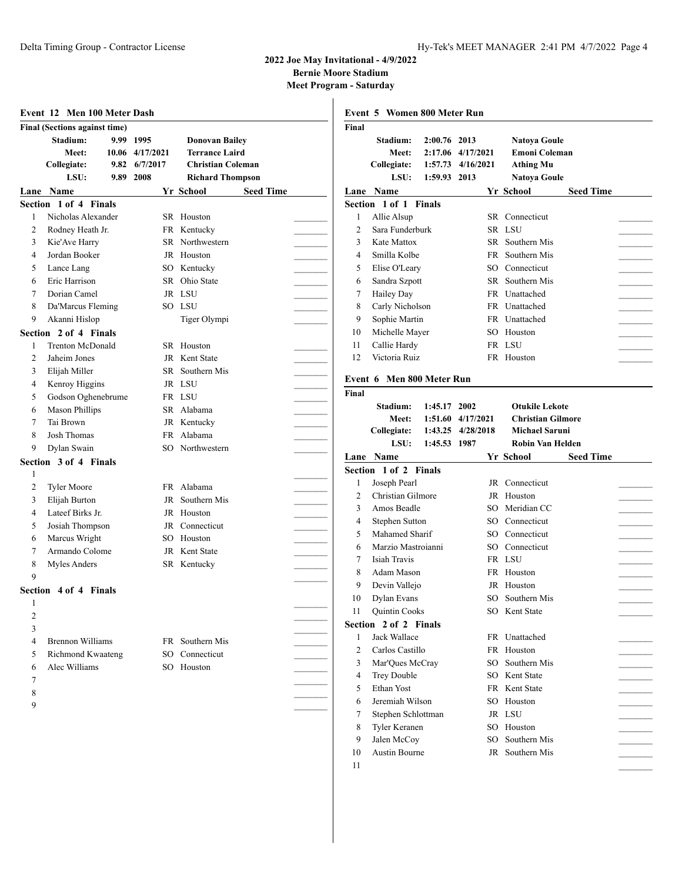**Bernie Moore Stadium**

|              | <b>Final (Sections against time)</b> |      |                                          |                                                                            | Final          |                                    |                         |                                |                                                          |                  |
|--------------|--------------------------------------|------|------------------------------------------|----------------------------------------------------------------------------|----------------|------------------------------------|-------------------------|--------------------------------|----------------------------------------------------------|------------------|
|              | Stadium:<br>Meet:<br>Collegiate:     | 9.82 | 9.99 1995<br>10.06 4/17/2021<br>6/7/2017 | <b>Donovan Bailey</b><br><b>Terrance Laird</b><br><b>Christian Coleman</b> |                | Stadium:<br>Meet:<br>Collegiate:   | 2:00.76 2013<br>1:57.73 | 2:17.06 4/17/2021<br>4/16/2021 | Natoya Goule<br><b>Emoni Coleman</b><br><b>Athing Mu</b> |                  |
|              | LSU:                                 | 9.89 | 2008                                     | <b>Richard Thompson</b>                                                    |                | LSU:                               | 1:59.93 2013            |                                | <b>Natoya Goule</b>                                      |                  |
|              | Lane Name<br>Section 1 of 4 Finals   |      |                                          | Yr School<br><b>Seed Time</b>                                              |                | Lane Name<br>Section 1 of 1 Finals |                         |                                | Yr School                                                | <b>Seed Time</b> |
|              | Nicholas Alexander                   |      |                                          | SR Houston                                                                 |                |                                    |                         |                                |                                                          |                  |
|              |                                      |      |                                          |                                                                            | 1              | Allie Alsup<br>Sara Funderburk     |                         |                                | SR Connecticut<br>SR LSU                                 |                  |
| 2            | Rodney Heath Jr.                     |      |                                          | FR Kentucky                                                                | 2              |                                    |                         |                                | SR Southern Mis                                          |                  |
| 3            | Kie'Ave Harry                        |      |                                          | SR Northwestern                                                            | 3              | Kate Mattox                        |                         |                                |                                                          |                  |
| 4            | Jordan Booker                        |      |                                          | JR Houston                                                                 | 4              | Smilla Kolbe                       |                         | FR                             | Southern Mis                                             |                  |
| 5            | Lance Lang                           |      |                                          | SO Kentucky                                                                | 5              | Elise O'Leary                      |                         | SO.                            | Connecticut                                              |                  |
| 6            | Eric Harrison                        |      |                                          | SR Ohio State                                                              | 6              | Sandra Szpott                      |                         | SR.                            | Southern Mis                                             |                  |
| 7            | Dorian Camel                         |      |                                          | JR LSU                                                                     | 7              | Hailey Day                         |                         | FR                             | Unattached                                               |                  |
| 8            | Da'Marcus Fleming                    |      |                                          | SO LSU                                                                     | 8              | Carly Nicholson                    |                         | FR                             | Unattached                                               |                  |
| 9            | Akanni Hislop                        |      |                                          | Tiger Olympi                                                               | 9              | Sophie Martin                      |                         | FR                             | Unattached                                               |                  |
| Section      | 2 of 4 Finals                        |      |                                          |                                                                            | 10             | Michelle Mayer                     |                         | SO.                            | Houston                                                  |                  |
| 1            | <b>Trenton McDonald</b>              |      |                                          | SR Houston                                                                 | 11             | Callie Hardy                       |                         |                                | FR LSU                                                   |                  |
| 2            | Jaheim Jones                         |      |                                          | JR Kent State                                                              | 12             | Victoria Ruiz                      |                         |                                | FR Houston                                               |                  |
| 3            | Elijah Miller                        |      |                                          | SR Southern Mis                                                            |                | Event 6 Men 800 Meter Run          |                         |                                |                                                          |                  |
| 4            | Kenroy Higgins                       |      |                                          | JR LSU                                                                     |                |                                    |                         |                                |                                                          |                  |
| 5            | Godson Oghenebrume                   |      |                                          | FR LSU                                                                     | Final          |                                    |                         |                                |                                                          |                  |
| 6            | <b>Mason Phillips</b>                |      |                                          | SR Alabama                                                                 |                | Stadium:                           | 1:45.17 2002            |                                | <b>Otukile Lekote</b>                                    |                  |
| 7            | Tai Brown                            |      |                                          | JR Kentucky                                                                |                | Meet:                              |                         | 1:51.60 4/17/2021              | <b>Christian Gilmore</b>                                 |                  |
| 8            | Josh Thomas                          |      |                                          | FR Alabama                                                                 |                | Collegiate:                        |                         | 1:43.25 4/28/2018              | <b>Michael Saruni</b>                                    |                  |
| 9            | Dylan Swain                          |      |                                          | SO Northwestern                                                            |                | LSU:                               | 1:45.53 1987            |                                | Robin Van Helden                                         |                  |
|              | Section 3 of 4 Finals                |      |                                          |                                                                            |                | Lane Name                          |                         |                                | Yr School                                                | <b>Seed Time</b> |
| $\mathbf{1}$ |                                      |      |                                          |                                                                            |                | Section 1 of 2 Finals              |                         |                                |                                                          |                  |
| 2            | <b>Tyler Moore</b>                   |      |                                          | FR Alabama                                                                 | 1              | Joseph Pearl                       |                         |                                | JR Connecticut                                           |                  |
| 3            | Elijah Burton                        |      |                                          | JR Southern Mis                                                            | $\overline{2}$ | Christian Gilmore                  |                         |                                | JR Houston                                               |                  |
| 4            | Lateef Birks Jr.                     |      |                                          | JR Houston                                                                 | 3              | Amos Beadle                        |                         | SO.                            | Meridian CC                                              |                  |
| 5            | Josiah Thompson                      |      |                                          | JR Connecticut                                                             | 4              | Stephen Sutton                     |                         | SO.                            | Connecticut                                              |                  |
| 6            | Marcus Wright                        |      |                                          | SO Houston                                                                 | 5              | Mahamed Sharif                     |                         | SO.                            | Connecticut                                              |                  |
| 7            | Armando Colome                       |      |                                          | JR Kent State                                                              | 6              | Marzio Mastroianni                 |                         | SO.                            | Connecticut                                              |                  |
| 8            | Myles Anders                         |      |                                          | SR Kentucky                                                                | 7              | Isiah Travis                       |                         | FR                             | LSU                                                      |                  |
| 9            |                                      |      |                                          |                                                                            | 8              | Adam Mason                         |                         | FR                             | Houston                                                  |                  |
|              | Section 4 of 4 Finals                |      |                                          |                                                                            | 9              | Devin Vallejo                      |                         |                                | JR Houston                                               |                  |
| -1           |                                      |      |                                          |                                                                            | 10             | Dylan Evans                        |                         |                                | SO Southern Mis                                          |                  |
| 2            |                                      |      |                                          |                                                                            | 11             | Quintin Cooks                      |                         |                                | SO Kent State                                            |                  |
| 3            |                                      |      |                                          |                                                                            |                | Section 2 of 2 Finals              |                         |                                |                                                          |                  |
|              | <b>Brennon Williams</b>              |      |                                          | FR Southern Mis                                                            |                | Jack Wallace                       |                         |                                | FR Unattached                                            |                  |
| 4            | Richmond Kwaateng                    |      | SО                                       | Connecticut                                                                | 2              | Carlos Castillo                    |                         |                                | FR Houston                                               |                  |
| 5            |                                      |      |                                          |                                                                            | 3              | Mar'Ques McCray                    |                         | SO.                            | Southern Mis                                             |                  |
| 6            | Alec Williams                        |      |                                          | SO Houston                                                                 | 4              | Trey Double                        |                         | SO.                            | Kent State                                               |                  |
| 7            |                                      |      |                                          |                                                                            | 5              | Ethan Yost                         |                         |                                | FR Kent State                                            |                  |
| 8            |                                      |      |                                          |                                                                            | 6              | Jeremiah Wilson                    |                         |                                | SO Houston                                               |                  |
| 9            |                                      |      |                                          |                                                                            | 7              | Stephen Schlottman                 |                         |                                | JR LSU                                                   |                  |
|              |                                      |      |                                          |                                                                            | 8              | Tyler Keranen                      |                         |                                | SO Houston                                               |                  |
|              |                                      |      |                                          |                                                                            | 9              | Jalen McCoy                        |                         | SO.                            | Southern Mis                                             |                  |
|              |                                      |      |                                          |                                                                            | 10             | Austin Bourne                      |                         |                                | JR Southern Mis                                          |                  |
|              |                                      |      |                                          |                                                                            |                |                                    |                         |                                |                                                          |                  |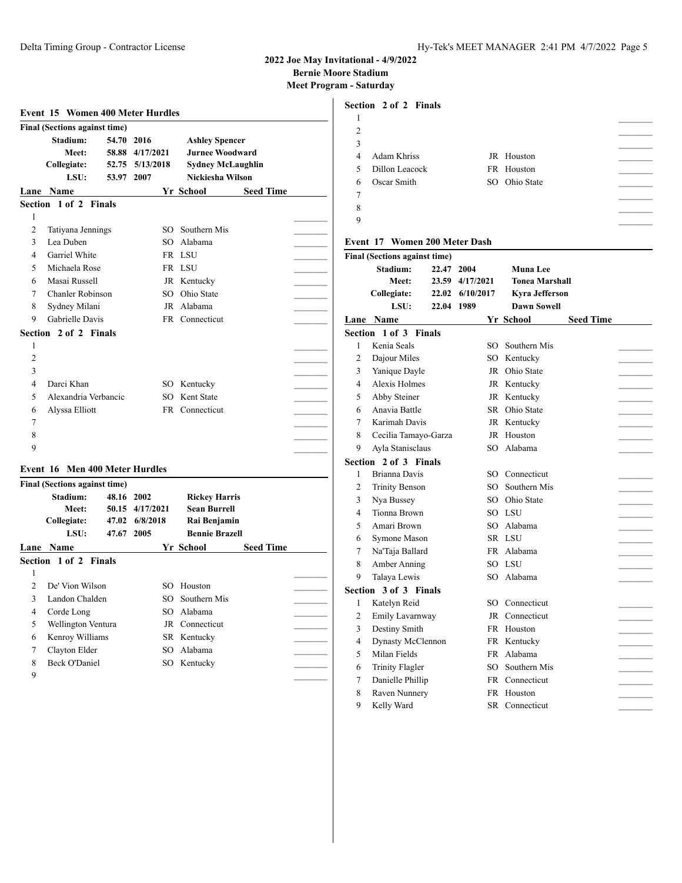$\overline{\phantom{a}}$ 

### **2022 Joe May Invitational - 4/9/2022 Bernie Moore Stadium**

**Meet Program - Saturday**

**Section 2 of 2 Finals**

|                | <b>Event 15 Women 400 Meter Hurdles</b>          |            |                 |                                             |                  |  |
|----------------|--------------------------------------------------|------------|-----------------|---------------------------------------------|------------------|--|
|                | <b>Final (Sections against time)</b>             |            |                 |                                             |                  |  |
|                | Stadium:                                         | 54.70 2016 |                 | <b>Ashley Spencer</b>                       |                  |  |
|                | Meet:                                            |            | 58.88 4/17/2021 | <b>Jurnee Woodward</b>                      |                  |  |
|                | Collegiate:                                      |            | 52.75 5/13/2018 | Sydney McLaughlin                           |                  |  |
|                | LSU:                                             | 53.97 2007 |                 | Nickiesha Wilson                            |                  |  |
|                | <b>Lane Name</b>                                 |            |                 | Yr School                                   | <b>Seed Time</b> |  |
|                | Section 1 of 2 Finals                            |            |                 |                                             |                  |  |
| 1              |                                                  |            |                 |                                             |                  |  |
| $\overline{c}$ | Tatiyana Jennings                                |            |                 | SO Southern Mis                             |                  |  |
| 3              | Lea Duben                                        |            |                 | SO Alabama                                  |                  |  |
| 4              | Garriel White                                    |            |                 | FR LSU                                      |                  |  |
| 5              | Michaela Rose                                    |            |                 | FR LSU                                      |                  |  |
| 6              | Masai Russell                                    |            |                 | JR Kentucky                                 |                  |  |
| 7              | Chanler Robinson                                 |            |                 | SO Ohio State                               |                  |  |
| 8              | Sydney Milani                                    |            |                 | JR Alabama                                  |                  |  |
| 9              | Gabrielle Davis                                  |            |                 | FR Connecticut                              |                  |  |
|                | Section 2 of 2 Finals                            |            |                 |                                             |                  |  |
| 1              |                                                  |            |                 |                                             |                  |  |
| $\overline{c}$ |                                                  |            |                 |                                             |                  |  |
| 3              |                                                  |            |                 |                                             |                  |  |
| 4              | Darci Khan                                       |            |                 | SO Kentucky                                 |                  |  |
| 5              | Alexandria Verbancic                             |            |                 | SO Kent State                               |                  |  |
| 6              | Alyssa Elliott                                   |            |                 | FR Connecticut                              |                  |  |
| 7              |                                                  |            |                 |                                             |                  |  |
| 8              |                                                  |            |                 |                                             |                  |  |
| 9              |                                                  |            |                 |                                             |                  |  |
|                | <b>Event 16 Men 400 Meter Hurdles</b>            |            |                 |                                             |                  |  |
|                |                                                  |            |                 |                                             |                  |  |
|                | <b>Final (Sections against time)</b><br>Stadium: | 48.16 2002 |                 |                                             |                  |  |
|                | Meet:                                            |            | 50.15 4/17/2021 | <b>Rickey Harris</b><br><b>Sean Burrell</b> |                  |  |
|                | Collegiate:                                      |            | 47.02 6/8/2018  | Rai Benjamin                                |                  |  |
|                | LSU:                                             | 47.67 2005 |                 | <b>Bennie Brazell</b>                       |                  |  |
|                | <b>Lane Name</b>                                 |            |                 | Yr School                                   | <b>Seed Time</b> |  |
|                | Section 1 of 2 Finals                            |            |                 |                                             |                  |  |
| 1              |                                                  |            |                 |                                             |                  |  |
| $\overline{c}$ | De' Vion Wilson                                  |            |                 | SO Houston                                  |                  |  |
| 3              | Landon Chalden                                   |            | SO              | Southern Mis                                |                  |  |
| 4              | Corde Long                                       |            | SO              | Alabama                                     |                  |  |
| 5              | Wellington Ventura                               |            |                 | JR Connecticut                              |                  |  |
| 6              | Kenroy Williams                                  |            |                 | SR Kentucky                                 |                  |  |
| 7              | Clayton Elder                                    |            | SO              | Alabama                                     |                  |  |
| 8              | <b>Beck O'Daniel</b>                             |            |                 | SO Kentucky                                 |                  |  |
| 9              |                                                  |            |                 |                                             |                  |  |
|                |                                                  |            |                 |                                             |                  |  |

| 2            |                                      |            |                 |                       |                  |  |
|--------------|--------------------------------------|------------|-----------------|-----------------------|------------------|--|
| 3            |                                      |            |                 |                       |                  |  |
| 4            | Adam Khriss                          |            |                 | JR Houston            |                  |  |
| 5            | Dillon Leacock                       |            |                 | FR Houston            |                  |  |
| 6            | Oscar Smith                          |            |                 | SO Ohio State         |                  |  |
| 7            |                                      |            |                 |                       |                  |  |
| 8            |                                      |            |                 |                       |                  |  |
| 9            |                                      |            |                 |                       |                  |  |
|              |                                      |            |                 |                       |                  |  |
|              | <b>Event 17 Women 200 Meter Dash</b> |            |                 |                       |                  |  |
|              | <b>Final (Sections against time)</b> |            |                 |                       |                  |  |
|              | Stadium:                             | 22.47      | 2004            | <b>Muna Lee</b>       |                  |  |
|              | <b>Meet:</b>                         |            | 23.59 4/17/2021 | <b>Tonea Marshall</b> |                  |  |
|              | Collegiate:                          |            | 22.02 6/10/2017 | <b>Kyra Jefferson</b> |                  |  |
|              | LSU:                                 | 22.04 1989 |                 | <b>Dawn Sowell</b>    |                  |  |
|              | Lane Name                            |            |                 | Yr School             | <b>Seed Time</b> |  |
|              | <b>Section 1 of 3 Finals</b>         |            |                 |                       |                  |  |
| $\mathbf{1}$ | Kenia Seals                          |            |                 | SO Southern Mis       |                  |  |
| 2            | Dajour Miles                         |            |                 | SO Kentucky           |                  |  |
| 3            | Yanique Dayle                        |            |                 | JR Ohio State         |                  |  |
| 4            | Alexis Holmes                        |            |                 | JR Kentucky           |                  |  |
| 5            | Abby Steiner                         |            |                 | JR Kentucky           |                  |  |
| 6            | Anavia Battle                        |            |                 | SR Ohio State         |                  |  |
| 7            | Karimah Davis                        |            |                 | JR Kentucky           |                  |  |
| 8            | Cecilia Tamayo-Garza                 |            |                 | JR Houston            |                  |  |
| 9            | Ayla Stanisclaus                     |            |                 | SO Alabama            |                  |  |
|              | Section 2 of 3 Finals                |            |                 |                       |                  |  |
| 1            | Brianna Davis                        |            |                 | SO Connecticut        |                  |  |
| 2            | <b>Trinity Benson</b>                |            |                 | SO Southern Mis       |                  |  |
| 3            | Nya Bussey                           |            |                 | SO Ohio State         |                  |  |
| 4            | Tionna Brown                         |            |                 | SO LSU                |                  |  |
| 5            | Amari Brown                          |            |                 | SO Alabama            |                  |  |
| 6            | Symone Mason                         |            |                 | SR LSU                |                  |  |
| 7            | Na'Taja Ballard                      |            |                 | FR Alabama            |                  |  |
| 8            | Amber Anning                         |            |                 | SO LSU                |                  |  |
| 9            | Talaya Lewis                         |            |                 | SO Alabama            |                  |  |
|              | Section 3 of 3 Finals                |            |                 |                       |                  |  |
| 1            | Katelyn Reid                         |            |                 | SO Connecticut        |                  |  |
| 2            | Emily Lavarnway                      |            |                 | JR Connecticut        |                  |  |
|              | 3 Destiny Smith                      |            |                 | FR Houston            |                  |  |
| 4            | Dynasty McClennon                    |            |                 | FR Kentucky           |                  |  |
| 5            | Milan Fields                         |            |                 | FR Alabama            |                  |  |
| 6            | <b>Trinity Flagler</b>               |            |                 | SO Southern Mis       |                  |  |
| 7            | Danielle Phillip                     |            |                 | FR Connecticut        |                  |  |
| 8            | Raven Nunnery                        |            |                 | FR Houston            |                  |  |
| 9            | Kelly Ward                           |            |                 | SR Connecticut        |                  |  |
|              |                                      |            |                 |                       |                  |  |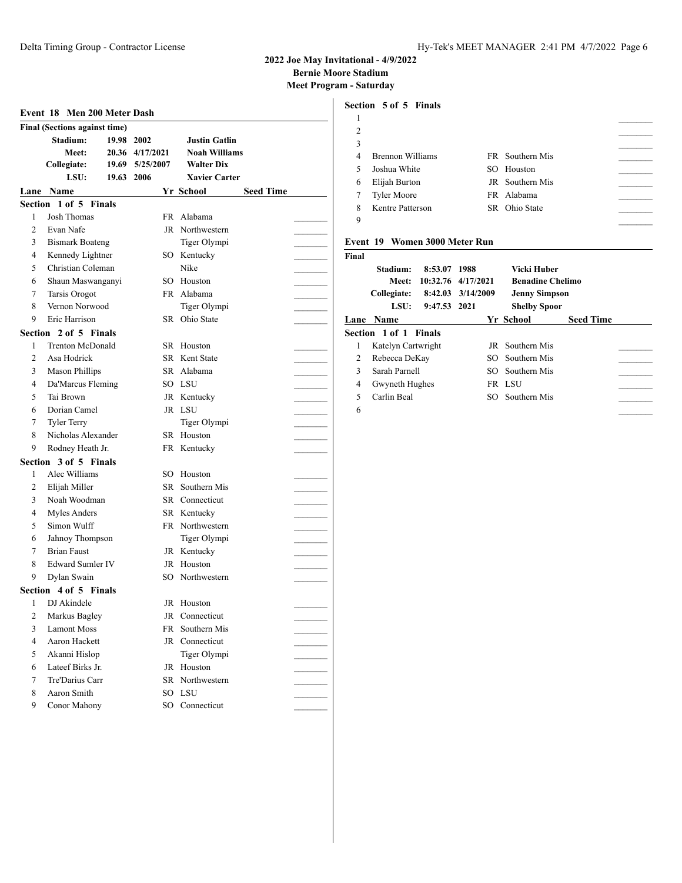**Bernie Moore Stadium**

**Meet Program - Saturday**

|                | Event 18 Men 200 Meter Dash          |            |                 |                       |                  |
|----------------|--------------------------------------|------------|-----------------|-----------------------|------------------|
|                | <b>Final (Sections against time)</b> |            |                 |                       |                  |
|                | Stadium:                             | 19.98 2002 |                 | <b>Justin Gatlin</b>  |                  |
|                | Meet:                                |            | 20.36 4/17/2021 | <b>Noah Williams</b>  |                  |
|                | <b>Collegiate:</b>                   |            | 19.69 5/25/2007 | <b>Walter Dix</b>     |                  |
|                | LSU:                                 | 19.63 2006 |                 | <b>Xavier Carter</b>  |                  |
|                | Lane Name                            |            |                 | Yr School             | <b>Seed Time</b> |
|                | Section 1 of 5 Finals                |            |                 |                       |                  |
| 1              | <b>Josh Thomas</b>                   |            | FR -            | Alabama               |                  |
| 2              | Evan Nafe                            |            |                 | JR Northwestern       |                  |
| 3              | <b>Bismark Boateng</b>               |            |                 | Tiger Olympi          |                  |
| $\overline{4}$ | Kennedy Lightner                     |            |                 | SO Kentucky           |                  |
| 5              | Christian Coleman                    |            |                 | Nike                  |                  |
| 6              | Shaun Maswanganyi                    |            |                 | SO Houston            |                  |
| 7              | <b>Tarsis Orogot</b>                 |            |                 | FR Alabama            |                  |
| 8              | Vernon Norwood                       |            |                 | Tiger Olympi          |                  |
| 9              | Eric Harrison                        |            |                 | SR Ohio State         |                  |
|                | Section 2 of 5 Finals                |            |                 |                       |                  |
| 1              | <b>Trenton McDonald</b>              |            |                 | SR Houston            |                  |
| $\overline{c}$ | Asa Hodrick                          |            |                 | SR Kent State         |                  |
| 3              | <b>Mason Phillips</b>                |            |                 | SR Alabama            |                  |
| 4              | Da'Marcus Fleming                    |            |                 | SO LSU                |                  |
| 5              | Tai Brown                            |            |                 | JR Kentucky           |                  |
| 6              | Dorian Camel                         |            |                 | JR LSU                |                  |
| 7              | <b>Tyler Terry</b>                   |            |                 | Tiger Olympi          |                  |
| 8              | Nicholas Alexander                   |            |                 | SR Houston            |                  |
| 9              | Rodney Heath Jr.                     |            |                 | FR Kentucky           |                  |
|                | Section 3 of 5 Finals                |            |                 |                       |                  |
| 1              | Alec Williams                        |            | SO              | Houston               |                  |
| 2              | Elijah Miller                        |            |                 | SR Southern Mis       |                  |
| 3              | Noah Woodman                         |            |                 | <b>SR</b> Connecticut |                  |
| 4              | Myles Anders                         |            |                 | SR Kentucky           |                  |
| 5              | Simon Wulff                          |            |                 | FR Northwestern       |                  |
| 6              | Jahnoy Thompson                      |            |                 | Tiger Olympi          |                  |
| 7              | <b>Brian Faust</b>                   |            |                 | JR Kentucky           |                  |
| 8              | <b>Edward Sumler IV</b>              |            |                 | JR Houston            |                  |
| 9              | Dylan Swain                          |            |                 | SO Northwestern       |                  |
|                | Section 4 of 5 Finals                |            |                 |                       |                  |
| 1              | DJ Akindele                          |            | JR              | Houston               |                  |
| $\overline{c}$ | Markus Bagley                        |            | JR              | Connecticut           |                  |
| 3              | <b>Lamont Moss</b>                   |            | FR              | Southern Mis          |                  |
| $\overline{4}$ | Aaron Hackett                        |            |                 | JR Connecticut        |                  |
| 5              | Akanni Hislop                        |            |                 | Tiger Olympi          |                  |
| 6              | Lateef Birks Jr.                     |            |                 | JR Houston            |                  |
| 7              | Tre'Darius Carr                      |            |                 | SR Northwestern       |                  |
| 8              | Aaron Smith                          |            |                 | SO LSU                |                  |
| 9              | Conor Mahony                         |            |                 | SO Connecticut        |                  |
|                |                                      |            |                 |                       |                  |

### **Section 5 of 5 Finals**

| $\overline{c}$ |                    |                        |  |
|----------------|--------------------|------------------------|--|
| 3              |                    |                        |  |
| 4              | Brennon Williams   | FR Southern Mis        |  |
| 5              | Joshua White       | SO Houston             |  |
| 6              | Elijah Burton      | <b>JR</b> Southern Mis |  |
| 7              | <b>Tyler Moore</b> | FR Alabama             |  |
| 8              | Kentre Patterson   | SR Ohio State          |  |
| 9              |                    |                        |  |
|                |                    |                        |  |

### **Event 19 Women 3000 Meter Run**

| Final |                       |              |                    |                         |                  |  |
|-------|-----------------------|--------------|--------------------|-------------------------|------------------|--|
|       | Stadium:              | 8:53.07 1988 |                    | Vicki Huber             |                  |  |
|       | Meet:                 |              | 10:32.76 4/17/2021 | <b>Benadine Chelimo</b> |                  |  |
|       | Collegiate:           |              | 8:42.03 3/14/2009  | <b>Jenny Simpson</b>    |                  |  |
|       | LSU:                  | 9:47.53 2021 |                    | <b>Shelby Spoor</b>     |                  |  |
| Lane  | <b>Name</b>           |              |                    | Yr School               | <b>Seed Time</b> |  |
|       | Section 1 of 1 Finals |              |                    |                         |                  |  |
| 1     | Katelyn Cartwright    |              |                    | <b>IR</b> Southern Mis  |                  |  |
| 2     | Rebecca DeKay         |              | SO.                | Southern Mis            |                  |  |
| 3     | Sarah Parnell         |              | SO.                | Southern Mis            |                  |  |
| 4     | Gwyneth Hughes        |              |                    | FR LSU                  |                  |  |
| 5     | Carlin Beal           |              | SO.                | Southern Mis            |                  |  |
| 6     |                       |              |                    |                         |                  |  |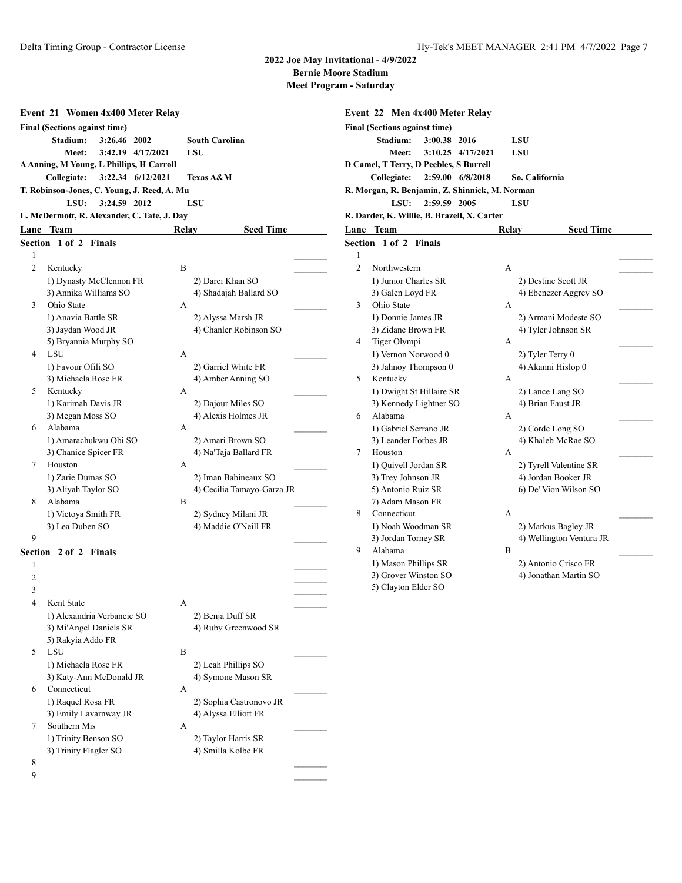## **2022 Joe May Invitation**

**Bernie Moore Sta** 

**Meet Program - Satura** 

|                | Event 21 Women 4x400 Meter Relay            |       |                                            |  |
|----------------|---------------------------------------------|-------|--------------------------------------------|--|
|                | <b>Final (Sections against time)</b>        |       |                                            |  |
|                | Stadium:<br>3:26.46 2002                    |       | <b>South Carolina</b>                      |  |
|                | Meet:<br>3:42.19 4/17/2021                  |       | LSU                                        |  |
|                | A Anning, M Young, L Phillips, H Carroll    |       |                                            |  |
|                | Collegiate:<br>3:22.34 6/12/2021            |       | <b>Texas A&amp;M</b>                       |  |
|                | T. Robinson-Jones, C. Young, J. Reed, A. Mu |       |                                            |  |
|                | LSU:<br>3:24.59 2012                        |       | LSU                                        |  |
|                | L. McDermott, R. Alexander, C. Tate, J. Day |       |                                            |  |
|                | Lane Team                                   | Relay | <b>Seed Time</b>                           |  |
|                | <b>Section 1 of 2 Finals</b>                |       |                                            |  |
| 1              |                                             |       |                                            |  |
| $\overline{c}$ | Kentucky                                    | B     |                                            |  |
|                | 1) Dynasty McClennon FR                     |       | 2) Darci Khan SO                           |  |
|                | 3) Annika Williams SO                       |       | 4) Shadajah Ballard SO                     |  |
| 3              | Ohio State                                  | A     |                                            |  |
|                | 1) Anavia Battle SR                         |       | 2) Alyssa Marsh JR                         |  |
|                | 3) Jaydan Wood JR                           |       | 4) Chanler Robinson SO                     |  |
|                | 5) Bryannia Murphy SO                       |       |                                            |  |
| 4              | <b>LSU</b>                                  | A     |                                            |  |
|                | 1) Favour Ofili SO                          |       | 2) Garriel White FR                        |  |
|                | 3) Michaela Rose FR                         |       | 4) Amber Anning SO                         |  |
| 5              | Kentucky                                    | А     |                                            |  |
|                | 1) Karimah Davis JR                         |       | 2) Dajour Miles SO                         |  |
| 6              | 3) Megan Moss SO<br>Alabama                 |       | 4) Alexis Holmes JR                        |  |
|                | 1) Amarachukwu Obi SO                       | A     |                                            |  |
|                | 3) Chanice Spicer FR                        |       | 2) Amari Brown SO<br>4) Na'Taja Ballard FR |  |
| 7              | Houston                                     | A     |                                            |  |
|                | 1) Zarie Dumas SO                           |       | 2) Iman Babineaux SO                       |  |
|                | 3) Aliyah Taylor SO                         |       | 4) Cecilia Tamayo-Garza JR                 |  |
| 8              | Alabama                                     | B     |                                            |  |
|                | 1) Victoya Smith FR                         |       | 2) Sydney Milani JR                        |  |
|                | 3) Lea Duben SO                             |       | 4) Maddie O'Neill FR                       |  |
| 9              |                                             |       |                                            |  |
|                | <b>Section 2 of 2 Finals</b>                |       |                                            |  |
| 1              |                                             |       |                                            |  |
| 2              |                                             |       |                                            |  |
| 3              |                                             |       |                                            |  |
| 4              | Kent State                                  | A     |                                            |  |
|                | 1) Alexandria Verbancic SO                  |       | 2) Benja Duff SR                           |  |
|                | 3) Mi'Angel Daniels SR                      |       | 4) Ruby Greenwood SR                       |  |
|                | 5) Rakyia Addo FR                           |       |                                            |  |
| 5              | LSU                                         | В     |                                            |  |
|                | 1) Michaela Rose FR                         |       | 2) Leah Phillips SO                        |  |
|                | 3) Katy-Ann McDonald JR                     |       | 4) Symone Mason SR                         |  |
| 6              | Connecticut                                 | А     |                                            |  |
|                | 1) Raquel Rosa FR                           |       | 2) Sophia Castronovo JR                    |  |
| 7              | 3) Emily Lavarnway JR<br>Southern Mis       | А     | 4) Alyssa Elliott FR                       |  |
|                | 1) Trinity Benson SO                        |       | 2) Taylor Harris SR                        |  |
|                | 3) Trinity Flagler SO                       |       | 4) Smilla Kolbe FR                         |  |
| 8              |                                             |       |                                            |  |

|                | Final (Sections against time)<br>Stadium:<br>3:00.38 2016 |       | LSU                                    |
|----------------|-----------------------------------------------------------|-------|----------------------------------------|
|                | Meet:<br>3:10.25 4/17/2021                                |       | LSU                                    |
|                | D Camel, T Terry, D Peebles, S Burrell                    |       |                                        |
|                | Collegiate:<br>2:59.00 6/8/2018                           |       | So. California                         |
|                | R. Morgan, R. Benjamin, Z. Shinnick, M. Norman            |       |                                        |
|                | 2:59.59 2005<br>LSU:                                      |       | LSU                                    |
|                | R. Darder, K. Willie, B. Brazell, X. Carter               |       |                                        |
|                | Lane Team                                                 | Relay | <b>Seed Time</b>                       |
|                | Section 1 of 2 Finals                                     |       |                                        |
| 1              |                                                           |       |                                        |
| $\overline{c}$ | Northwestern                                              | А     |                                        |
|                | 1) Junior Charles SR                                      |       | 2) Destine Scott JR                    |
|                | 3) Galen Loyd FR                                          |       | 4) Ebenezer Aggrey SO                  |
| 3              | Ohio State                                                | А     |                                        |
|                | 1) Donnie James JR                                        |       | 2) Armani Modeste SO                   |
|                | 3) Zidane Brown FR                                        |       | 4) Tyler Johnson SR                    |
| 4              | Tiger Olympi                                              | А     |                                        |
|                | 1) Vernon Norwood 0                                       |       | 2) Tyler Terry 0                       |
|                | 3) Jahnoy Thompson 0                                      |       | 4) Akanni Hislop 0                     |
| 5              | Kentucky                                                  | А     |                                        |
|                | 1) Dwight St Hillaire SR                                  |       | 2) Lance Lang SO                       |
| 6              | 3) Kennedy Lightner SO<br>Alabama                         |       | 4) Brian Faust JR                      |
|                |                                                           | А     |                                        |
|                | 1) Gabriel Serrano JR<br>3) Leander Forbes JR             |       | 2) Corde Long SO<br>4) Khaleb McRae SO |
| 7              | Houston                                                   | А     |                                        |
|                | 1) Quivell Jordan SR                                      |       | 2) Tyrell Valentine SR                 |
|                | 3) Trey Johnson JR                                        |       | 4) Jordan Booker JR                    |
|                | 5) Antonio Ruiz SR                                        |       | 6) De' Vion Wilson SO                  |
|                | 7) Adam Mason FR                                          |       |                                        |
| 8              | Connecticut                                               | А     |                                        |
|                | 1) Noah Woodman SR                                        |       | 2) Markus Bagley JR                    |
|                | 3) Jordan Torney SR                                       |       | 4) Wellington Ventura JR               |
| 9              | Alabama                                                   | B     |                                        |
|                | 1) Mason Phillips SR                                      |       | 2) Antonio Crisco FR                   |
|                | 3) Grover Winston SO                                      |       | 4) Jonathan Martin SO                  |
|                | 5) Clayton Elder SO                                       |       |                                        |

 $9$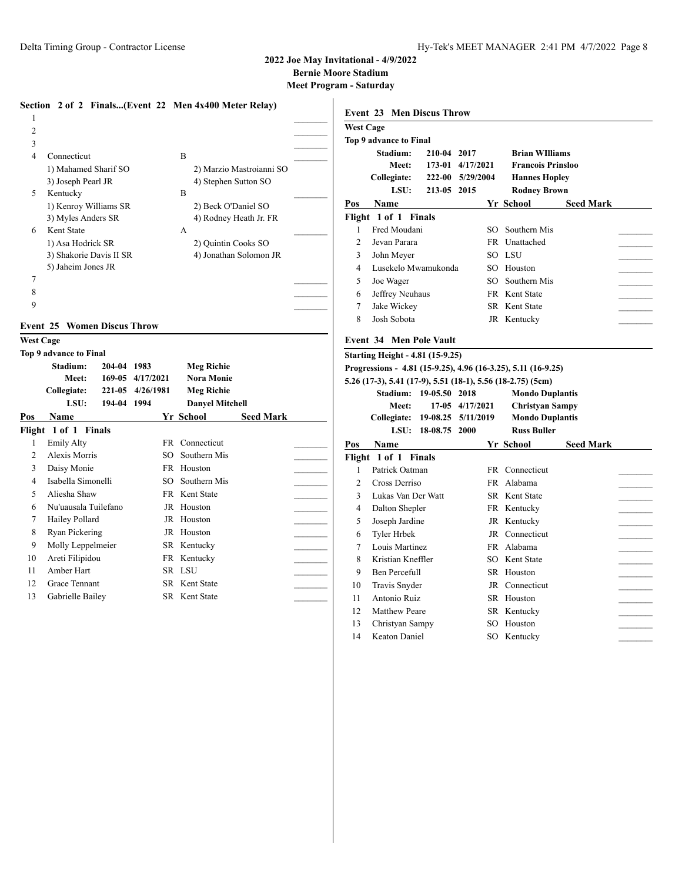**Bernie Moore Stadium**

|                  |                                           | Section 2 of 2 Finals(Event 22 Men 4x400 Meter Relay) |                          |                  | <b>Event 23 Men Discus Throw</b>                              |                  |                          |                  |  |
|------------------|-------------------------------------------|-------------------------------------------------------|--------------------------|------------------|---------------------------------------------------------------|------------------|--------------------------|------------------|--|
| $\overline{2}$   |                                           |                                                       |                          | <b>West Cage</b> |                                                               |                  |                          |                  |  |
| 3                |                                           |                                                       |                          |                  | Top 9 advance to Final                                        |                  |                          |                  |  |
| $\overline{4}$   | Connecticut                               | B                                                     |                          |                  | Stadium:                                                      | 210-04 2017      | <b>Brian WIlliams</b>    |                  |  |
|                  | 1) Mahamed Sharif SO                      |                                                       | 2) Marzio Mastroianni SO |                  | Meet:                                                         | 173-01 4/17/2021 | <b>Francois Prinsloo</b> |                  |  |
|                  | 3) Joseph Pearl JR                        | 4) Stephen Sutton SO                                  |                          |                  | Collegiate:                                                   | 222-00 5/29/2004 | <b>Hannes Hopley</b>     |                  |  |
| 5                | Kentucky                                  | B                                                     |                          |                  | LSU:                                                          | 213-05 2015      | <b>Rodney Brown</b>      |                  |  |
|                  |                                           | 2) Beck O'Daniel SO                                   |                          | Pos              | Name                                                          |                  | Yr School                | <b>Seed Mark</b> |  |
|                  | 1) Kenroy Williams SR                     |                                                       |                          |                  | Flight 1 of 1 Finals                                          |                  |                          |                  |  |
|                  | 3) Myles Anders SR<br>Kent State          |                                                       | 4) Rodney Heath Jr. FR   |                  | Fred Moudani                                                  |                  | SO Southern Mis          |                  |  |
| 6                |                                           | A                                                     |                          | $\overline{2}$   | Jevan Parara                                                  | FR               |                          |                  |  |
|                  | 1) Asa Hodrick SR                         | 2) Quintin Cooks SO                                   |                          |                  |                                                               |                  | Unattached               |                  |  |
|                  | 3) Shakorie Davis II SR                   |                                                       | 4) Jonathan Solomon JR   | 3                | John Meyer                                                    |                  | SO LSU                   |                  |  |
|                  | 5) Jaheim Jones JR                        |                                                       |                          | $\overline{4}$   | Lusekelo Mwamukonda                                           |                  | SO Houston               |                  |  |
| 7                |                                           |                                                       |                          | 5                | Joe Wager                                                     | SO.              | Southern Mis             |                  |  |
| 8                |                                           |                                                       |                          | 6                | Jeffrey Neuhaus                                               |                  | FR Kent State            |                  |  |
| 9                |                                           |                                                       |                          | $\overline{7}$   | Jake Wickey                                                   |                  | SR Kent State            |                  |  |
|                  | <b>Event 25 Women Discus Throw</b>        |                                                       |                          | 8                | Josh Sobota                                                   |                  | JR Kentucky              |                  |  |
| <b>West Cage</b> |                                           |                                                       |                          |                  | <b>Event 34 Men Pole Vault</b>                                |                  |                          |                  |  |
|                  | Top 9 advance to Final                    |                                                       |                          |                  | <b>Starting Height - 4.81 (15-9.25)</b>                       |                  |                          |                  |  |
|                  | Stadium:<br>204-04 1983                   | <b>Meg Richie</b>                                     |                          |                  | Progressions - 4.81 (15-9.25), 4.96 (16-3.25), 5.11 (16-9.25) |                  |                          |                  |  |
|                  | Meet:                                     | 169-05 4/17/2021<br><b>Nora Monie</b>                 |                          |                  | 5.26 (17-3), 5.41 (17-9), 5.51 (18-1), 5.56 (18-2.75) (5cm)   |                  |                          |                  |  |
|                  | Collegiate:                               | 221-05 4/26/1981<br><b>Meg Richie</b>                 |                          |                  | Stadium: 19-05.50 2018                                        |                  | <b>Mondo Duplantis</b>   |                  |  |
|                  | LSU:<br>194-04 1994                       | <b>Danvel Mitchell</b>                                |                          |                  | Meet:                                                         | 17-05 4/17/2021  | <b>Christyan Sampy</b>   |                  |  |
|                  |                                           |                                                       |                          |                  |                                                               |                  |                          |                  |  |
| Pos              | Name                                      | Yr School                                             | <b>Seed Mark</b>         |                  | Collegiate: 19-08.25 5/11/2019                                |                  | <b>Mondo Duplantis</b>   |                  |  |
|                  |                                           |                                                       |                          |                  | LSU: 18-08.75 2000                                            |                  | <b>Russ Buller</b>       |                  |  |
|                  | Flight 1 of 1 Finals<br><b>Emily Alty</b> | FR Connecticut                                        |                          |                  |                                                               |                  |                          |                  |  |
| 2                | Alexis Morris                             | Southern Mis<br>SO.                                   |                          | Pos              | Name                                                          |                  | Yr School                | <b>Seed Mark</b> |  |
| 3                |                                           | FR Houston                                            |                          |                  | Flight 1 of 1 Finals                                          |                  |                          |                  |  |
|                  | Daisy Monie                               |                                                       |                          |                  | Patrick Oatman                                                |                  | FR Connecticut           |                  |  |
| $\overline{4}$   | Isabella Simonelli                        | SO.<br>Southern Mis                                   |                          | 2                | Cross Derriso                                                 |                  | FR Alabama               |                  |  |
| 5                | Aliesha Shaw                              | FR Kent State                                         |                          | 3                | Lukas Van Der Watt                                            |                  | SR Kent State            |                  |  |
| 6                | Nu'uausala Tuilefano                      | JR Houston                                            |                          | $\overline{4}$   | Dalton Shepler                                                |                  | FR Kentucky              |                  |  |
| 7                | Hailey Pollard                            | JR Houston                                            |                          | 5                | Joseph Jardine                                                |                  | JR Kentucky              |                  |  |
| 8                | Ryan Pickering                            | JR Houston                                            |                          | 6                | Tyler Hrbek                                                   |                  | JR Connecticut           |                  |  |
| 9                | Molly Leppelmeier                         | SR Kentucky                                           |                          | 7                | Louis Martinez                                                |                  | FR Alabama               |                  |  |
| 10               | Areti Filipidou                           | FR Kentucky                                           |                          | 8                | Kristian Kneffler                                             |                  | SO Kent State            |                  |  |
| 11               | Amber Hart                                | SR LSU                                                |                          | 9                | Ben Percefull                                                 |                  | SR Houston               |                  |  |
| 12               | Grace Tennant                             | SR Kent State                                         |                          | 10               | Travis Snyder                                                 |                  | JR Connecticut           |                  |  |
| 13               | Gabrielle Bailey                          | SR Kent State                                         |                          | 11               | Antonio Ruiz                                                  |                  | SR Houston               |                  |  |
|                  |                                           |                                                       |                          | 12               | <b>Matthew Peare</b>                                          |                  | SR Kentucky              |                  |  |
|                  |                                           |                                                       |                          | 13               |                                                               |                  | SO Houston               |                  |  |
|                  |                                           |                                                       |                          | 14               | Christyan Sampy<br>Keaton Daniel                              |                  | SO Kentucky              |                  |  |
|                  |                                           |                                                       |                          |                  |                                                               |                  |                          |                  |  |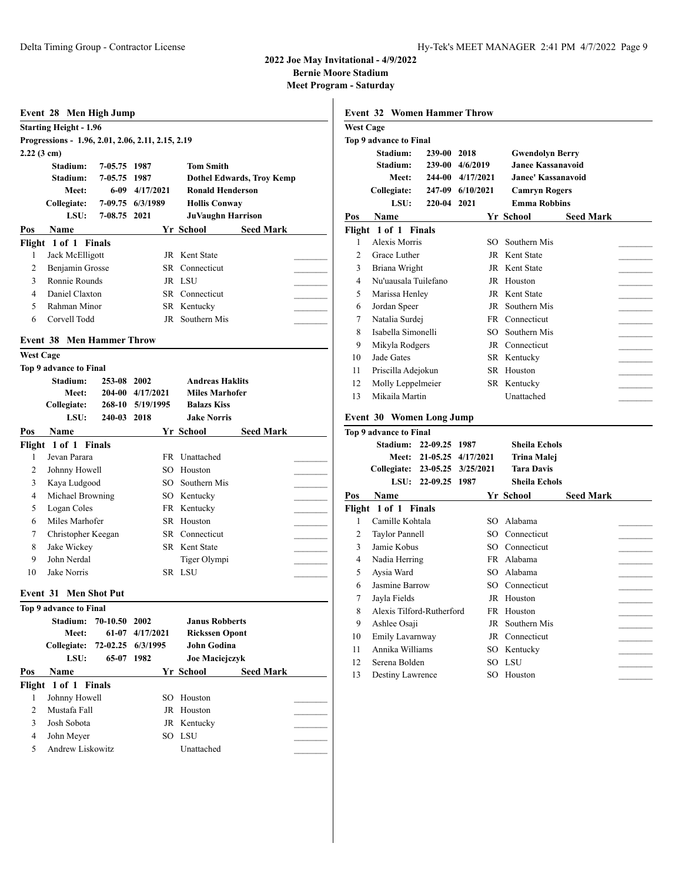**Bernie Moore Stadium**

|                      | Event 28 Men High Jump                            |               |                   |                          |                                  |
|----------------------|---------------------------------------------------|---------------|-------------------|--------------------------|----------------------------------|
|                      | <b>Starting Height - 1.96</b>                     |               |                   |                          |                                  |
|                      | Progressions - 1.96, 2.01, 2.06, 2.11, 2.15, 2.19 |               |                   |                          |                                  |
| $2.22(3 \text{ cm})$ |                                                   |               |                   |                          |                                  |
|                      | Stadium:                                          | 7-05.75 1987  |                   | <b>Tom Smith</b>         |                                  |
|                      | Stadium:                                          | 7-05.75 1987  |                   |                          | <b>Dothel Edwards, Troy Kemp</b> |
|                      | Meet:                                             |               | 6-09 4/17/2021    | <b>Ronald Henderson</b>  |                                  |
|                      | Collegiate:                                       |               | 7-09.75 6/3/1989  | <b>Hollis Conway</b>     |                                  |
|                      | LSU:                                              | 7-08.75 2021  |                   | <b>JuVaughn Harrison</b> |                                  |
| Pos                  | <b>Name</b>                                       |               |                   | Yr School                | <b>Seed Mark</b>                 |
|                      | Flight 1 of 1 Finals                              |               |                   |                          |                                  |
| 1                    | Jack McElligott                                   |               |                   | JR Kent State            |                                  |
| 2                    | Benjamin Grosse                                   |               | SR                | Connecticut              |                                  |
| 3                    | Ronnie Rounds                                     |               |                   | JR LSU                   |                                  |
| $\overline{4}$       | Daniel Claxton                                    |               |                   | <b>SR</b> Connecticut    |                                  |
| 5                    | Rahman Minor                                      |               |                   | SR Kentucky              |                                  |
|                      | Corvell Todd                                      |               |                   |                          |                                  |
| 6                    |                                                   |               |                   | JR Southern Mis          |                                  |
|                      | <b>Event 38 Men Hammer Throw</b>                  |               |                   |                          |                                  |
| <b>West Cage</b>     |                                                   |               |                   |                          |                                  |
|                      | Top 9 advance to Final                            |               |                   |                          |                                  |
|                      | Stadium:                                          | 253-08 2002   |                   | <b>Andreas Haklits</b>   |                                  |
|                      | <b>Meet:</b>                                      |               | 204-00 4/17/2021  | <b>Miles Marhofer</b>    |                                  |
|                      | Collegiate:                                       |               | 268-10 5/19/1995  | <b>Balazs Kiss</b>       |                                  |
|                      | LSU:                                              | 240-03 2018   |                   | <b>Jake Norris</b>       |                                  |
| Pos                  | <b>Name</b>                                       |               |                   | Yr School                | <b>Seed Mark</b>                 |
|                      | Flight 1 of 1 Finals                              |               |                   |                          |                                  |
| 1                    | Jevan Parara                                      |               |                   | FR Unattached            |                                  |
| 2                    | Johnny Howell                                     |               | SO.               | Houston                  |                                  |
| 3                    | Kaya Ludgood                                      |               | SO.               | Southern Mis             |                                  |
| 4                    | Michael Browning                                  |               |                   | SO Kentucky              |                                  |
| 5                    | Logan Coles                                       |               |                   | FR Kentucky              |                                  |
| 6                    | Miles Marhofer                                    |               |                   | SR Houston               |                                  |
| 7                    | Christopher Keegan                                |               |                   | <b>SR</b> Connecticut    |                                  |
| 8                    | Jake Wickey                                       |               |                   | SR Kent State            |                                  |
| 9                    | John Nerdal                                       |               |                   | Tiger Olympi             |                                  |
| 10                   | Jake Norris                                       |               |                   | SR LSU                   |                                  |
|                      |                                                   |               |                   |                          |                                  |
|                      | <b>Event 31 Men Shot Put</b>                      |               |                   |                          |                                  |
|                      | Top 9 advance to Final                            |               |                   |                          |                                  |
|                      | Stadium:                                          | 70-10.50 2002 |                   | <b>Janus Robberts</b>    |                                  |
|                      | <b>Meet:</b>                                      |               | 61-07 4/17/2021   | <b>Rickssen Opont</b>    |                                  |
|                      | Collegiate:                                       |               | 72-02.25 6/3/1995 | John Godina              |                                  |
|                      | LSU:                                              | 65-07 1982    |                   | Joe Maciejczyk           |                                  |
| Pos                  | Name                                              |               |                   | Yr School                | <b>Seed Mark</b>                 |
|                      | Flight 1 of 1 Finals                              |               |                   |                          |                                  |
| 1                    | Johnny Howell                                     |               | SO                | Houston                  |                                  |
|                      |                                                   |               |                   |                          |                                  |
| $\overline{2}$       | Mustafa Fall                                      |               |                   | JR Houston               |                                  |
| 3                    | Josh Sobota                                       |               |                   | JR Kentucky              |                                  |
| 4                    | John Meyer                                        |               |                   | SO LSU                   |                                  |
| 5                    | Andrew Liskowitz                                  |               |                   | Unattached               |                                  |

|                  | <b>Event 32 Women Hammer Throw</b>               |               |                          |                            |                  |  |
|------------------|--------------------------------------------------|---------------|--------------------------|----------------------------|------------------|--|
| <b>West Cage</b> |                                                  |               |                          |                            |                  |  |
|                  | <b>Top 9 advance to Final</b>                    |               |                          |                            |                  |  |
|                  | Stadium:                                         | 239-00 2018   |                          | <b>Gwendolyn Berry</b>     |                  |  |
|                  | Stadium:                                         |               | 239-00 4/6/2019          | <b>Janee Kassanavoid</b>   |                  |  |
|                  | <b>Meet:</b>                                     |               | 244-00 4/17/2021         | <b>Janee' Kassanavoid</b>  |                  |  |
|                  | <b>Collegiate:</b>                               |               | 247-09 6/10/2021         | <b>Camryn Rogers</b>       |                  |  |
|                  | LSU:                                             | 220-04 2021   |                          | <b>Emma Robbins</b>        |                  |  |
| Pos              | Name                                             |               |                          | Yr School                  | <b>Seed Mark</b> |  |
|                  | Flight 1 of 1 Finals                             |               |                          |                            |                  |  |
| 1                | Alexis Morris                                    |               | SO.                      | Southern Mis               |                  |  |
| 2                | Grace Luther                                     |               |                          | JR Kent State              |                  |  |
| 3                | Briana Wright                                    |               |                          | JR Kent State              |                  |  |
| 4                | Nu'uausala Tuilefano                             |               |                          | JR Houston                 |                  |  |
| 5                | Marissa Henley                                   |               |                          | JR Kent State              |                  |  |
| 6                | Jordan Speer                                     |               |                          | JR Southern Mis            |                  |  |
| 7                | Natalia Surdej                                   |               |                          | FR Connecticut             |                  |  |
| 8                | Isabella Simonelli                               |               |                          | SO Southern Mis            |                  |  |
| 9                | Mikyla Rodgers                                   |               |                          | JR Connecticut             |                  |  |
| 10               | Jade Gates                                       |               |                          | SR Kentucky                |                  |  |
| 11               | Priscilla Adejokun                               |               |                          | SR Houston                 |                  |  |
| 12               | Molly Leppelmeier                                |               |                          | SR Kentucky                |                  |  |
| 13               | Mikaila Martin                                   |               |                          | Unattached                 |                  |  |
|                  |                                                  |               |                          |                            |                  |  |
|                  | Event 30 Women Long Jump                         |               |                          |                            |                  |  |
|                  | Top 9 advance to Final<br>Stadium: 22-09.25 1987 |               |                          | <b>Sheila Echols</b>       |                  |  |
|                  |                                                  |               | Meet: 21-05.25 4/17/2021 | <b>Trina Malej</b>         |                  |  |
|                  | Collegiate: 23-05.25 3/25/2021                   |               |                          | <b>Tara Davis</b>          |                  |  |
|                  | LSU:                                             | 22-09.25 1987 |                          | <b>Sheila Echols</b>       |                  |  |
| Pos              | Name                                             |               |                          | Yr School                  | <b>Seed Mark</b> |  |
|                  | Flight 1 of 1 Finals                             |               |                          |                            |                  |  |
| 1                | Camille Kohtala                                  |               | SO                       | Alabama                    |                  |  |
| 2                | <b>Taylor Pannell</b>                            |               |                          | SO Connecticut             |                  |  |
| 3                | Jamie Kobus                                      |               |                          | SO Connecticut             |                  |  |
| 4                | Nadia Herring                                    |               |                          | FR Alabama                 |                  |  |
| 5                | Aysia Ward                                       |               |                          | SO Alabama                 |                  |  |
| 6                | Jasmine Barrow                                   |               |                          | SO Connecticut             |                  |  |
| 7                | Jayla Fields                                     |               |                          | JR Houston                 |                  |  |
|                  | Alexis Tilford-Rutherford                        |               |                          |                            |                  |  |
| 8<br>9           |                                                  |               | JR                       | FR Houston<br>Southern Mis |                  |  |
|                  | Ashlee Osaji                                     |               |                          |                            |                  |  |
| 10               | Emily Lavarnway<br>Annika Williams               |               |                          | JR Connecticut             |                  |  |
| 11               | Serena Bolden                                    |               |                          | SO Kentucky                |                  |  |
| 12               |                                                  |               |                          | SO LSU                     |                  |  |
| 13               | Destiny Lawrence                                 |               |                          | SO Houston                 |                  |  |
|                  |                                                  |               |                          |                            |                  |  |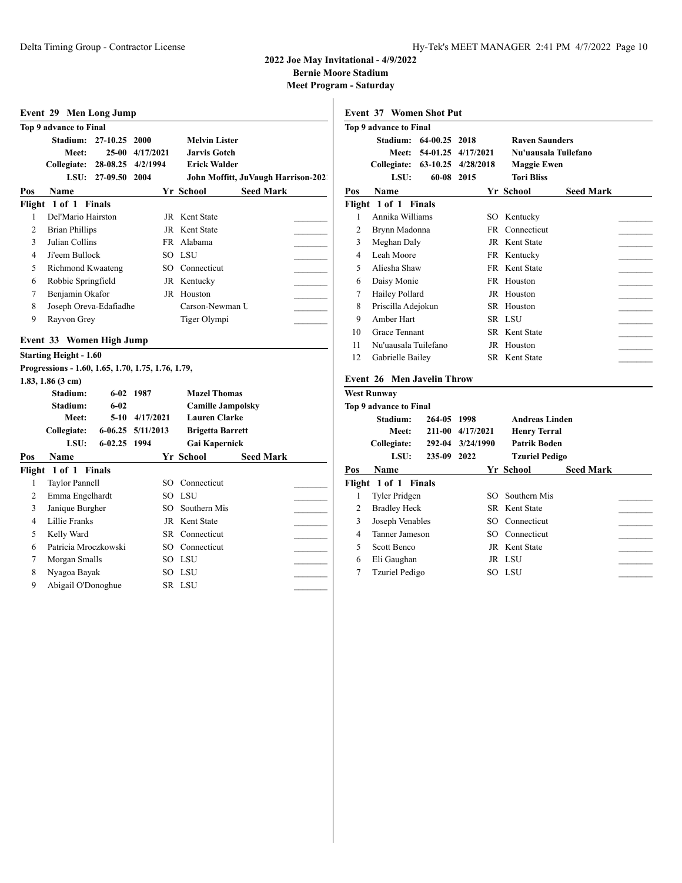**Bernie Moore Stadium**

|                | Event 29 Men Long Jump                             |                    |                   |                                                  |                                     |  |
|----------------|----------------------------------------------------|--------------------|-------------------|--------------------------------------------------|-------------------------------------|--|
|                | Top 9 advance to Final                             |                    |                   |                                                  |                                     |  |
|                | Stadium:                                           | 27-10.25           | 2000              | <b>Melvin Lister</b>                             |                                     |  |
|                | Meet:                                              |                    | 25-00 4/17/2021   | <b>Jarvis Gotch</b>                              |                                     |  |
|                | Collegiate:                                        | 28-08.25           | 4/2/1994          | <b>Erick Walder</b>                              |                                     |  |
|                | LSU:                                               | 27-09.50 2004      |                   |                                                  | John Moffitt, JuVaugh Harrison-2021 |  |
| Pos            | Name                                               |                    |                   | Yr School                                        | <b>Seed Mark</b>                    |  |
|                | Flight 1 of 1 Finals                               |                    |                   |                                                  |                                     |  |
| 1              | Del'Mario Hairston                                 |                    |                   | JR Kent State                                    |                                     |  |
| $\overline{c}$ | <b>Brian Phillips</b>                              |                    |                   | JR Kent State                                    |                                     |  |
| 3              | Julian Collins                                     |                    |                   | FR Alabama                                       |                                     |  |
| 4              | Ji'eem Bullock                                     |                    |                   | SO LSU                                           |                                     |  |
| 5              | <b>Richmond Kwaateng</b>                           |                    |                   | SO Connecticut                                   |                                     |  |
| 6              | Robbie Springfield                                 |                    |                   | JR Kentucky                                      |                                     |  |
| 7              | Benjamin Okafor                                    |                    |                   | JR Houston                                       |                                     |  |
| 8              | Joseph Oreva-Edafiadhe                             |                    |                   | Carson-Newman U                                  |                                     |  |
| 9              | Rayvon Grey                                        |                    |                   | Tiger Olympi                                     |                                     |  |
|                |                                                    |                    |                   |                                                  |                                     |  |
|                | Event 33 Women High Jump                           |                    |                   |                                                  |                                     |  |
|                | <b>Starting Height - 1.60</b>                      |                    |                   |                                                  |                                     |  |
|                | Progressions - 1.60, 1.65, 1.70, 1.75, 1.76, 1.79, |                    |                   |                                                  |                                     |  |
|                | $1.83, 1.86$ (3 cm)                                |                    |                   |                                                  |                                     |  |
|                | Stadium:                                           |                    | 6-02 1987         | <b>Mazel Thomas</b>                              |                                     |  |
|                | Stadium:<br>Meet:                                  | $6 - 02$<br>$5-10$ | 4/17/2021         | <b>Camille Jampolsky</b><br><b>Lauren Clarke</b> |                                     |  |
|                | Collegiate:                                        |                    | 6-06.25 5/11/2013 |                                                  |                                     |  |
|                | LSU:                                               | 6-02.25 1994       |                   | <b>Brigetta Barrett</b>                          |                                     |  |
|                |                                                    |                    |                   | Gai Kapernick                                    |                                     |  |
| Pos            | Name                                               |                    |                   | Yr School                                        | <b>Seed Mark</b>                    |  |
| 1              | Flight 1 of 1 Finals<br><b>Taylor Pannell</b>      |                    |                   | SO Connecticut                                   |                                     |  |
| 2              | Emma Engelhardt                                    |                    |                   | SO LSU                                           |                                     |  |
| 3              | Janique Burgher                                    |                    |                   | SO Southern Mis                                  |                                     |  |
| $\overline{4}$ | Lillie Franks                                      |                    |                   | JR Kent State                                    |                                     |  |
| 5              | Kelly Ward                                         |                    |                   | SR Connecticut                                   |                                     |  |
| 6              | Patricia Mroczkowski                               |                    |                   | SO Connecticut                                   |                                     |  |
| 7              | Morgan Smalls                                      |                    |                   | SO LSU                                           |                                     |  |
|                |                                                    |                    |                   |                                                  |                                     |  |
|                |                                                    |                    |                   |                                                  |                                     |  |
| 8<br>9         | Nyagoa Bayak<br>Abigail O'Donoghue                 |                    |                   | SO LSU<br>SR LSU                                 |                                     |  |

|     | Top 9 advance to Final     |          |                    |                       |                  |
|-----|----------------------------|----------|--------------------|-----------------------|------------------|
|     | Stadium:                   | 64-00.25 | 2018               | <b>Raven Saunders</b> |                  |
|     | Meet:                      |          | 54-01.25 4/17/2021 | Nu'uausala Tuilefano  |                  |
|     | Collegiate:                |          | 63-10.25 4/28/2018 | <b>Maggie Ewen</b>    |                  |
|     | LSU:                       | 60-08    | 2015               | <b>Tori Bliss</b>     |                  |
| Pos | Name                       |          |                    | Yr School             | <b>Seed Mark</b> |
|     | Flight 1 of 1 Finals       |          |                    |                       |                  |
| 1   | Annika Williams            |          | SO.                | Kentucky              |                  |
| 2   | Brynn Madonna              |          | FR -               | Connecticut           |                  |
| 3   | Meghan Daly                |          |                    | JR Kent State         |                  |
| 4   | Leah Moore                 |          |                    | FR Kentucky           |                  |
| 5   | Aliesha Shaw               |          | FR                 | Kent State            |                  |
| 6   | Daisy Monie                |          | FR.                | Houston               |                  |
| 7   | Hailey Pollard             |          | JR.                | Houston               |                  |
| 8   | Priscilla Adejokun         |          |                    | SR Houston            |                  |
| 9   | Amber Hart                 |          |                    | SR LSU                |                  |
| 10  | Grace Tennant              |          |                    | <b>SR</b> Kent State  |                  |
| 11  | Nu'uausala Tuilefano       |          |                    | JR Houston            |                  |
| 12  | Gabrielle Bailey           |          |                    | SR Kent State         |                  |
|     | Event 26 Men Javelin Throw |          |                    |                       |                  |
|     | <b>West Runway</b>         |          |                    |                       |                  |
|     | Top 9 advance to Final     |          |                    |                       |                  |

|                | Top 9 advance to Final |             |                  |                       |                  |  |
|----------------|------------------------|-------------|------------------|-----------------------|------------------|--|
|                | Stadium:               | 264-05 1998 |                  | <b>Andreas Linden</b> |                  |  |
|                | Meet:                  |             | 211-00 4/17/2021 | <b>Henry Terral</b>   |                  |  |
|                | Collegiate:            |             | 292-04 3/24/1990 | <b>Patrik Boden</b>   |                  |  |
|                | LSU:                   | 235-09 2022 |                  | <b>Tzuriel Pedigo</b> |                  |  |
| Pos            | <b>Name</b>            |             |                  | Yr School             | <b>Seed Mark</b> |  |
|                | Flight 1 of 1 Finals   |             |                  |                       |                  |  |
| 1              | Tyler Pridgen          |             | SO.              | Southern Mis          |                  |  |
| 2              | <b>Bradley Heck</b>    |             |                  | SR Kent State         |                  |  |
| 3              | Joseph Venables        |             |                  | SO Connecticut        |                  |  |
| $\overline{4}$ | Tanner Jameson         |             |                  | SO Connecticut        |                  |  |
| 5              | Scott Benco            |             |                  | JR Kent State         |                  |  |
| 6              | Eli Gaughan            |             |                  | JR LSU                |                  |  |
| 7              | Tzuriel Pedigo         |             |                  | SO LSU                |                  |  |
|                |                        |             |                  |                       |                  |  |